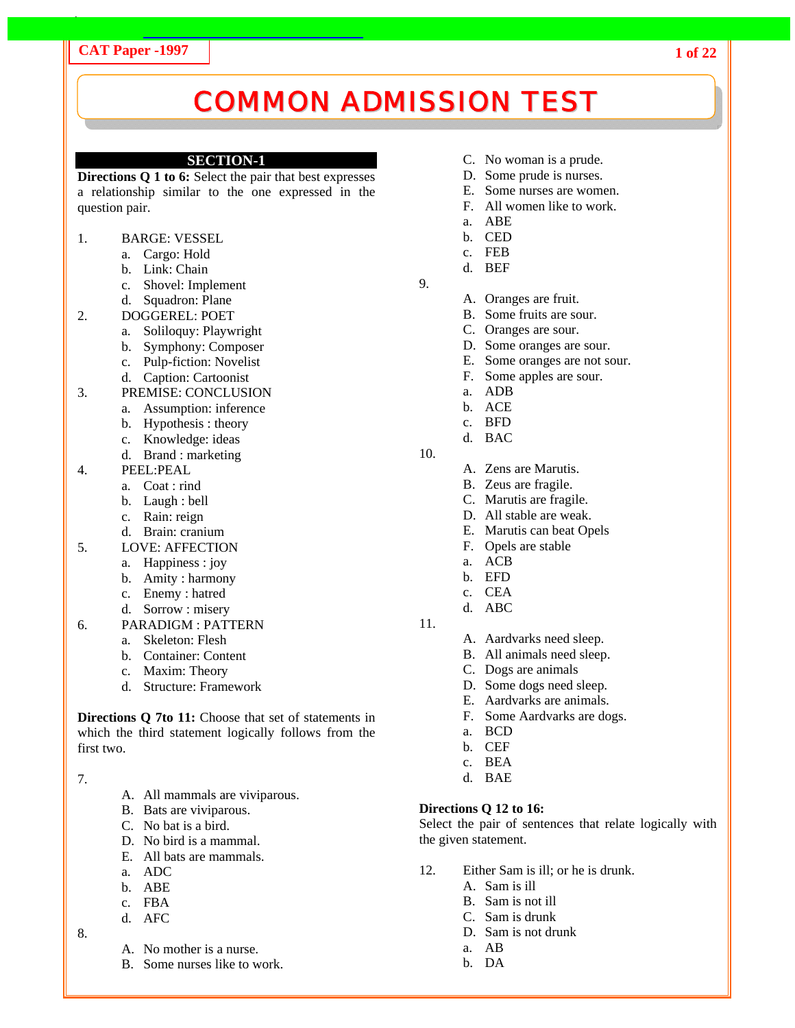# **CAT Paper -1997**

# COMMON ADMISSION TEST

# **SECTION-1**

**Directions Q 1 to 6:** Select the pair that best expresses a relationship similar to the one expressed in the question pair.

- 1. BARGE: VESSEL
	- a. Cargo: Hold
	- b. Link: Chain
	- c. Shovel: Implement
	- d. Squadron: Plane
- 2. DOGGEREL: POET
	- a. Soliloquy: Playwright
	- b. Symphony: Composer
	- c. Pulp-fiction: Novelist
	- d. Caption: Cartoonist
- 3. PREMISE: CONCLUSION
	- a. Assumption: inference
	- b. Hypothesis : theory
	- c. Knowledge: ideas
	- d. Brand : marketing
- 4. PEEL:PEAL
	- a. Coat : rind
	- b. Laugh : bell
	- c. Rain: reign
	- d. Brain: cranium
- 5. LOVE: AFFECTION
	- a. Happiness : joy
	- b. Amity : harmony
	- c. Enemy : hatred
	- d. Sorrow : misery
- 6. PARADIGM : PATTERN
	- a. Skeleton: Flesh
	- b. Container: Content
	- c. Maxim: Theory
	- d. Structure: Framework

**Directions Q 7to 11:** Choose that set of statements in which the third statement logically follows from the first two.

## 7.

- A. All mammals are viviparous.
- B. Bats are viviparous.
- C. No bat is a bird.
- D. No bird is a mammal.
- E. All bats are mammals.
- a. ADC
- b. ABE
- c. FBA
- d. AFC
- 8.
- A. No mother is a nurse.
- B. Some nurses like to work.
- C. No woman is a prude.
- D. Some prude is nurses.
- E. Some nurses are women.
- F. All women like to work.
- a. ABE
- b. CED
- c. FEB
- d. BEF
- 

9.

- A. Oranges are fruit.
- B. Some fruits are sour.
- C. Oranges are sour.
- D. Some oranges are sour.
- E. Some oranges are not sour.
- F. Some apples are sour.
- a. ADB
- b. ACE
- c. BFD
- d. BAC
- 10.
- A. Zens are Marutis.
- B. Zeus are fragile.
- C. Marutis are fragile.
- D. All stable are weak.
- E. Marutis can beat Opels
- F. Opels are stable
- a. ACB
- b. EFD
- c. CEA
- d. ABC
- 11.
- A. Aardvarks need sleep.
- B. All animals need sleep.
- C. Dogs are animals
- D. Some dogs need sleep.
- E. Aardvarks are animals.
- F. Some Aardvarks are dogs.
- a. BCD
- b. CEF
- c. BEA
- d. BAE

## **Directions Q 12 to 16:**

Select the pair of sentences that relate logically with the given statement.

- 12. Either Sam is ill; or he is drunk.
	- A. Sam is ill
	- B. Sam is not ill
	- C. Sam is drunk
	- D. Sam is not drunk
	- a. AB
	- b. DA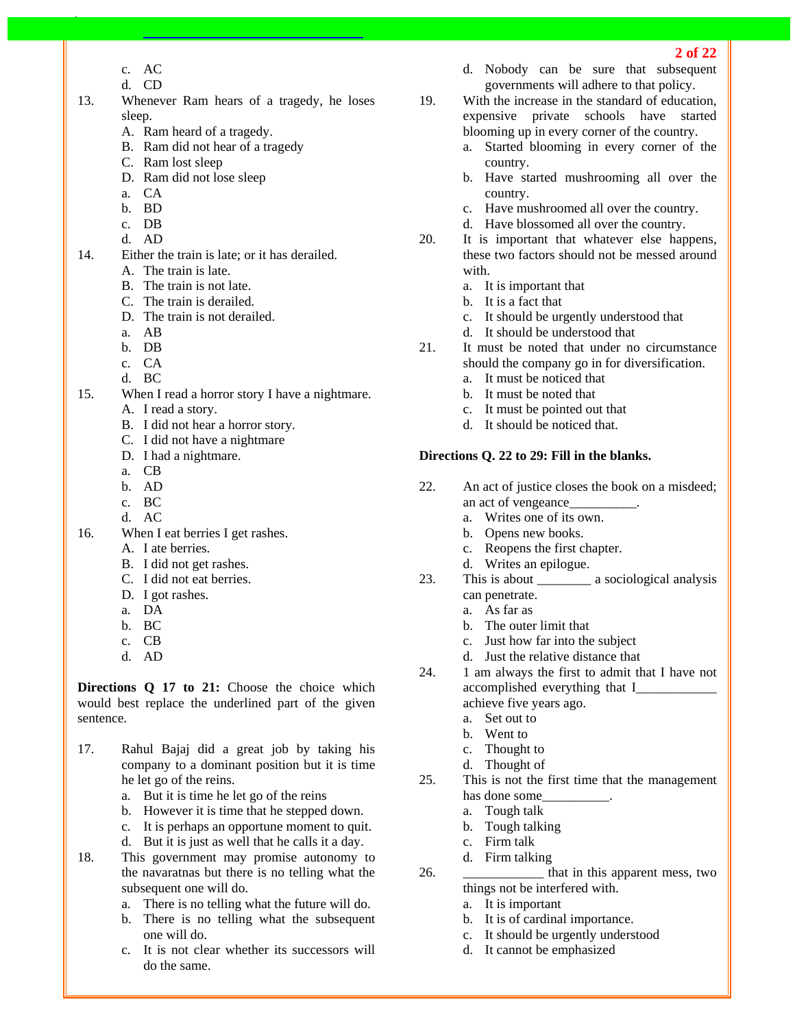- c. AC
- d. CD
- 13. Whenever Ram hears of a tragedy, he loses sleep.
	- A. Ram heard of a tragedy.
	- B. Ram did not hear of a tragedy
	- C. Ram lost sleep
	- D. Ram did not lose sleep
	- a. CA
	- b. BD
	- c. DB
	- d. AD
- 14. Either the train is late; or it has derailed.
	- A. The train is late.
	- B. The train is not late.
	- C. The train is derailed.
	- D. The train is not derailed.
	- a. AB
	- b. DB
	- c. CA
	- d. BC
- 15. When I read a horror story I have a nightmare.
	- A. I read a story.
	- B. I did not hear a horror story.
	- C. I did not have a nightmare
	- D. I had a nightmare.
	- a. CB
	- b. AD
	- c. BC
	- d. AC
- 16. When I eat berries I get rashes.
	- A. I ate berries.
	- B. I did not get rashes.
	- C. I did not eat berries.
	- D. I got rashes.
	- a. DA
	- b. BC c. CB
	- d. AD
	-

**Directions Q 17 to 21:** Choose the choice which would best replace the underlined part of the given sentence.

- 17. Rahul Bajaj did a great job by taking his company to a dominant position but it is time he let go of the reins.
	- a. But it is time he let go of the reins
	- b. However it is time that he stepped down.
	- c. It is perhaps an opportune moment to quit.
	- d. But it is just as well that he calls it a day.
- 18. This government may promise autonomy to the navaratnas but there is no telling what the subsequent one will do.
	- a. There is no telling what the future will do.
	- b. There is no telling what the subsequent one will do.
	- c. It is not clear whether its successors will do the same.
- d. Nobody can be sure that subsequent governments will adhere to that policy.
- 19. With the increase in the standard of education, expensive private schools have started blooming up in every corner of the country.
	- a. Started blooming in every corner of the country.
	- b. Have started mushrooming all over the country.
	- c. Have mushroomed all over the country.
	- d. Have blossomed all over the country.
- 20. It is important that whatever else happens, these two factors should not be messed around with.
	- a. It is important that
	- b. It is a fact that
	- c. It should be urgently understood that
	- d. It should be understood that
- 21. It must be noted that under no circumstance should the company go in for diversification.
	- a. It must be noticed that
	- b. It must be noted that
	- c. It must be pointed out that
	- d. It should be noticed that.

## **Directions Q. 22 to 29: Fill in the blanks.**

- 22. An act of justice closes the book on a misdeed; an act of vengeance\_\_\_\_\_\_\_\_\_\_.
	- a. Writes one of its own.
	- b. Opens new books.
	- c. Reopens the first chapter.
	- d. Writes an epilogue.
- 23. This is about \_\_\_\_\_\_\_\_ a sociological analysis can penetrate.
	- a. As far as
	- b. The outer limit that
	- c. Just how far into the subject
	- d. Just the relative distance that
- 24. 1 am always the first to admit that I have not accomplished everything that I\_\_\_\_\_\_\_\_\_\_\_\_
	- achieve five years ago.
	- a. Set out to
	- b. Went to
	- c. Thought to
	- d. Thought of
- 25. This is not the first time that the management has done some\_\_\_\_\_\_\_\_\_\_.
	- a. Tough talk
	- b. Tough talking
	- c. Firm talk
	- d. Firm talking
- 26. **that in this apparent mess, two** things not be interfered with.
	- a. It is important
	- b. It is of cardinal importance.
	- c. It should be urgently understood
	- d. It cannot be emphasized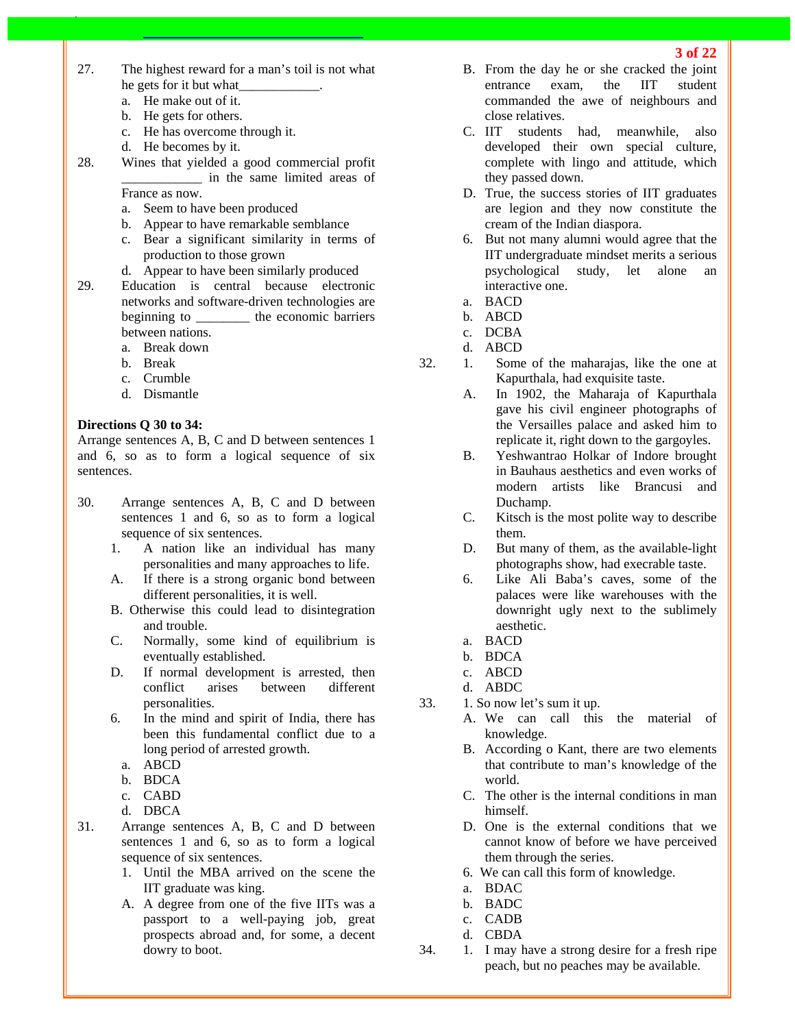- 27. The highest reward for a man's toil is not what he gets for it but what\_\_\_\_\_\_\_\_\_\_\_\_.
	- a. He make out of it.
	- b. He gets for others.
	- c. He has overcome through it.
	- d. He becomes by it.
- 28. Wines that yielded a good commercial profit \_\_\_\_\_\_\_\_\_\_\_\_ in the same limited areas of France as now.
	- a. Seem to have been produced
	- b. Appear to have remarkable semblance
	- c. Bear a significant similarity in terms of production to those grown
	- d. Appear to have been similarly produced
- 29. Education is central because electronic networks and software-driven technologies are beginning to \_\_\_\_\_\_\_\_ the economic barriers between nations.
	- a. Break down
	- b. Break
	- c. Crumble
	- d. Dismantle

## **Directions Q 30 to 34:**

Arrange sentences A, B, C and D between sentences 1 and 6, so as to form a logical sequence of six sentences.

- 30. Arrange sentences A, B, C and D between sentences 1 and 6, so as to form a logical sequence of six sentences.
	- 1. A nation like an individual has many personalities and many approaches to life.
	- A. If there is a strong organic bond between different personalities, it is well.
	- B. Otherwise this could lead to disintegration and trouble.
	- C. Normally, some kind of equilibrium is eventually established.
	- D. If normal development is arrested, then conflict arises between different personalities.
	- 6. In the mind and spirit of India, there has been this fundamental conflict due to a long period of arrested growth.
		- a. ABCD
		- b. BDCA
		- c. CABD
		- d. DBCA
- 31. Arrange sentences A, B, C and D between sentences 1 and 6, so as to form a logical sequence of six sentences.
	- 1. Until the MBA arrived on the scene the IIT graduate was king.
	- A. A degree from one of the five IITs was a passport to a well-paying job, great prospects abroad and, for some, a decent dowry to boot.
- B. From the day he or she cracked the joint entrance exam, the IIT student commanded the awe of neighbours and close relatives.
- C. IIT students had, meanwhile, also developed their own special culture, complete with lingo and attitude, which they passed down.
- D. True, the success stories of IIT graduates are legion and they now constitute the cream of the Indian diaspora.
- 6. But not many alumni would agree that the IIT undergraduate mindset merits a serious psychological study, let alone an interactive one.
- a. BACD
- b. ABCD
- c. DCBA
- d. ABCD
- 32. 1. Some of the maharajas, like the one at Kapurthala, had exquisite taste.
	- A. In 1902, the Maharaja of Kapurthala gave his civil engineer photographs of the Versailles palace and asked him to replicate it, right down to the gargoyles.
	- B. Yeshwantrao Holkar of Indore brought in Bauhaus aesthetics and even works of modern artists like Brancusi and Duchamp.
	- C. Kitsch is the most polite way to describe them.
	- D. But many of them, as the available-light photographs show, had execrable taste.
	- 6. Like Ali Baba's caves, some of the palaces were like warehouses with the downright ugly next to the sublimely aesthetic.
	- a. BACD
	- b. BDCA
	- c. ABCD
	- d. ABDC
- 33. 1. So now let's sum it up.
	- A. We can call this the material of knowledge.
	- B. According o Kant, there are two elements that contribute to man's knowledge of the world.
	- C. The other is the internal conditions in man himself.
	- D. One is the external conditions that we cannot know of before we have perceived them through the series.
	- 6. We can call this form of knowledge.
	- a. BDAC
	- b. BADC
	- c. CADB
	- d. CBDA
- 34. 1. I may have a strong desire for a fresh ripe peach, but no peaches may be available.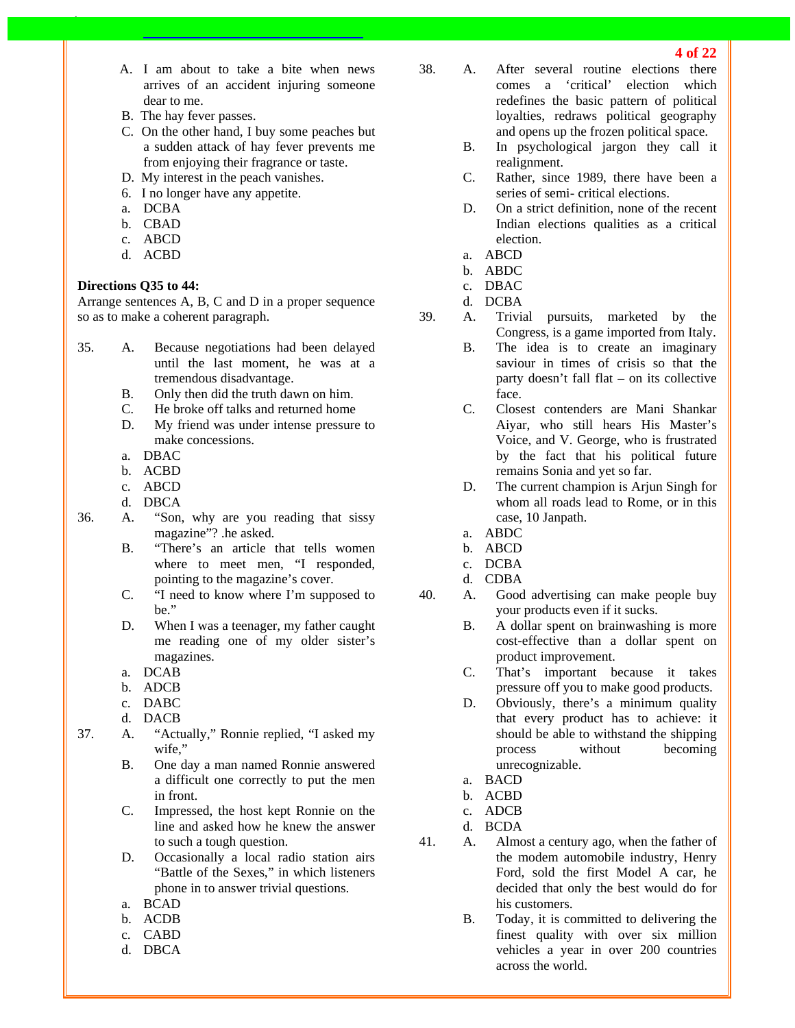- A. I am about to take a bite when news arrives of an accident injuring someone dear to me.
- B. The hay fever passes.
- C. On the other hand, I buy some peaches but a sudden attack of hay fever prevents me from enjoying their fragrance or taste.
- D. My interest in the peach vanishes. 6. I no longer have any appetite.
- a. DCBA
- b. CBAD
- c. ABCD
- d. ACBD

# **Directions Q35 to 44:**

Arrange sentences A, B, C and D in a proper sequence so as to make a coherent paragraph.

- 35. A. Because negotiations had been delayed until the last moment, he was at a tremendous disadvantage.
	- B. Only then did the truth dawn on him.
	- C. He broke off talks and returned home
	- D. My friend was under intense pressure to make concessions.
	- a. DBAC
	- b. ACBD
	- c. ABCD
	- d. DBCA
- 36. A. "Son, why are you reading that sissy magazine"? .he asked.
	- B. "There's an article that tells women where to meet men, "I responded, pointing to the magazine's cover.
	- C. "I need to know where I'm supposed to be."
	- D. When I was a teenager, my father caught me reading one of my older sister's magazines.
	- a. DCAB
	- b. ADCB
	- c. DABC
	- d. DACB
- 37. A. "Actually," Ronnie replied, "I asked my wife."
	- B. One day a man named Ronnie answered a difficult one correctly to put the men in front.
	- C. Impressed, the host kept Ronnie on the line and asked how he knew the answer to such a tough question.
	- D. Occasionally a local radio station airs "Battle of the Sexes," in which listeners phone in to answer trivial questions.
	- a. BCAD
	- b. ACDB
	- c. CABD
	- d. DBCA
- 38. A. After several routine elections there comes a 'critical' election which redefines the basic pattern of political loyalties, redraws political geography and opens up the frozen political space.
	- B. In psychological jargon they call it realignment.
	- C. Rather, since 1989, there have been a series of semi- critical elections.
	- D. On a strict definition, none of the recent Indian elections qualities as a critical election.
	- a. ABCD
	- b. ABDC
	- c. DBAC
	- d. DCBA
- 39. A. Trivial pursuits, marketed by the Congress, is a game imported from Italy.
	- B. The idea is to create an imaginary saviour in times of crisis so that the party doesn't fall flat – on its collective face.
	- C. Closest contenders are Mani Shankar Aiyar, who still hears His Master's Voice, and V. George, who is frustrated by the fact that his political future remains Sonia and yet so far.
	- D. The current champion is Arjun Singh for whom all roads lead to Rome, or in this case, 10 Janpath.
	- a. ABDC
	- b. ABCD
	- c. DCBA
	- d. CDBA
- 40. A. Good advertising can make people buy your products even if it sucks.
	- B. A dollar spent on brainwashing is more cost-effective than a dollar spent on product improvement.
	- C. That's important because it takes pressure off you to make good products.
	- D. Obviously, there's a minimum quality that every product has to achieve: it should be able to withstand the shipping process without becoming unrecognizable.
	- a. BACD
	- b. ACBD
	- c. ADCB
	- d. BCDA
- 41. A. Almost a century ago, when the father of the modem automobile industry, Henry Ford, sold the first Model A car, he decided that only the best would do for his customers.
	- B. Today, it is committed to delivering the finest quality with over six million vehicles a year in over 200 countries across the world.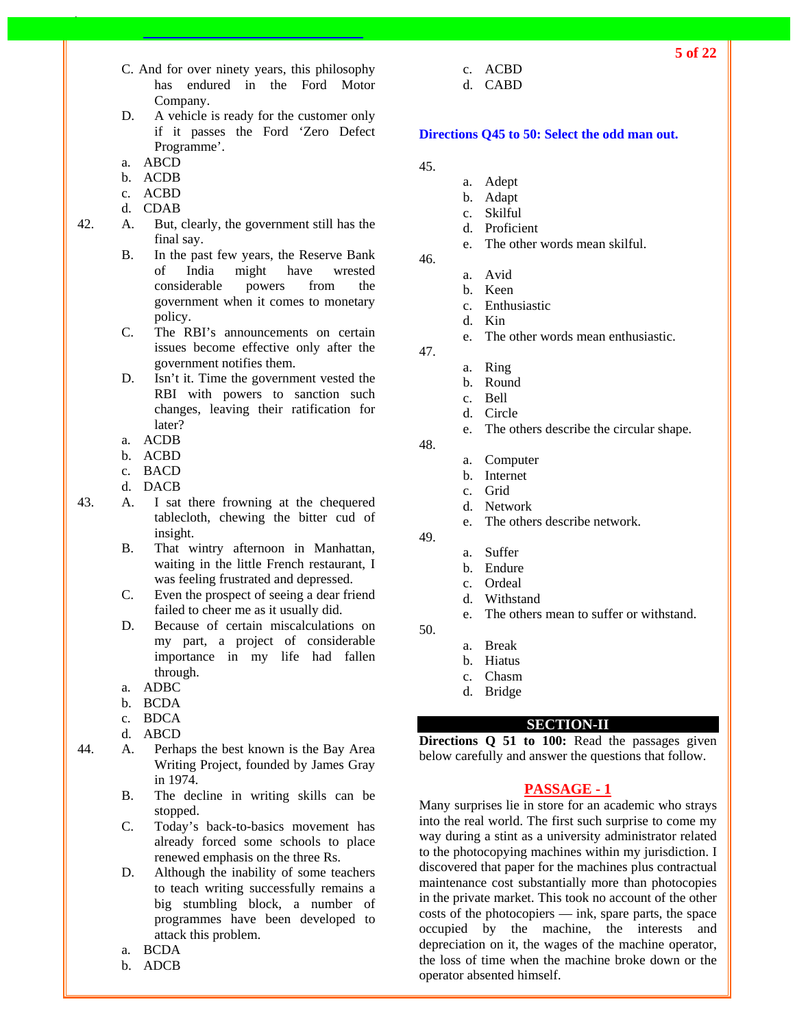- C. And for over ninety years, this philosophy has endured in the Ford Motor Company.
- D. A vehicle is ready for the customer only if it passes the Ford 'Zero Defect Programme'.
- a. ABCD
- b. ACDB
- c. ACBD
- d. CDAB
- 42. A. But, clearly, the government still has the final say.
	- B. In the past few years, the Reserve Bank of India might have wrested considerable powers from the government when it comes to monetary policy.
	- C. The RBI's announcements on certain issues become effective only after the government notifies them.
	- D. Isn't it. Time the government vested the RBI with powers to sanction such changes, leaving their ratification for later?
	- a. ACDB
	- b. ACBD
	- c. BACD
	- d. DACB
- 43. A. I sat there frowning at the chequered tablecloth, chewing the bitter cud of insight.
	- B. That wintry afternoon in Manhattan, waiting in the little French restaurant, I was feeling frustrated and depressed.
	- C. Even the prospect of seeing a dear friend failed to cheer me as it usually did.
	- D. Because of certain miscalculations on my part, a project of considerable importance in my life had fallen through.
	- a. ADBC
	- b. BCDA
	- c. BDCA
	- d. ABCD
- 44. A. Perhaps the best known is the Bay Area Writing Project, founded by James Gray in 1974.
	- B. The decline in writing skills can be stopped.
	- C. Today's back-to-basics movement has already forced some schools to place renewed emphasis on the three Rs.
	- D. Although the inability of some teachers to teach writing successfully remains a big stumbling block, a number of programmes have been developed to attack this problem.
	- a. BCDA
	- b. ADCB
- c. ACBD
- d. CABD

#### **Directions Q45 to 50: Select the odd man out.**

45.

- a. Adept
- b. Adapt
- c. Skilful
- d. Proficient
- e. The other words mean skilful.
- 46.
- a. Avid b. Keen
- 
- c. Enthusiastic
- d. Kin
- e. The other words mean enthusiastic.
- 47.
- a. Ring
	- b. Round
	- c. Bell
	- d. Circle
- e. The others describe the circular shape.
- 48.
- a. Computer
- b. Internet
- c. Grid
- d. Network
- e. The others describe network.
- 49.
- a. Suffer
- b. Endure
- c. Ordeal
- d. Withstand
- e. The others mean to suffer or withstand.
- 50.
	- a. Break
	- b. Hiatus
	- c. Chasm
	- d. Bridge

### **SECTION-II**

**Directions Q 51 to 100:** Read the passages given below carefully and answer the questions that follow.

# **PASSAGE - 1**

Many surprises lie in store for an academic who strays into the real world. The first such surprise to come my way during a stint as a university administrator related to the photocopying machines within my jurisdiction. I discovered that paper for the machines plus contractual maintenance cost substantially more than photocopies in the private market. This took no account of the other costs of the photocopiers — ink, spare parts, the space occupied by the machine, the interests and depreciation on it, the wages of the machine operator, the loss of time when the machine broke down or the operator absented himself.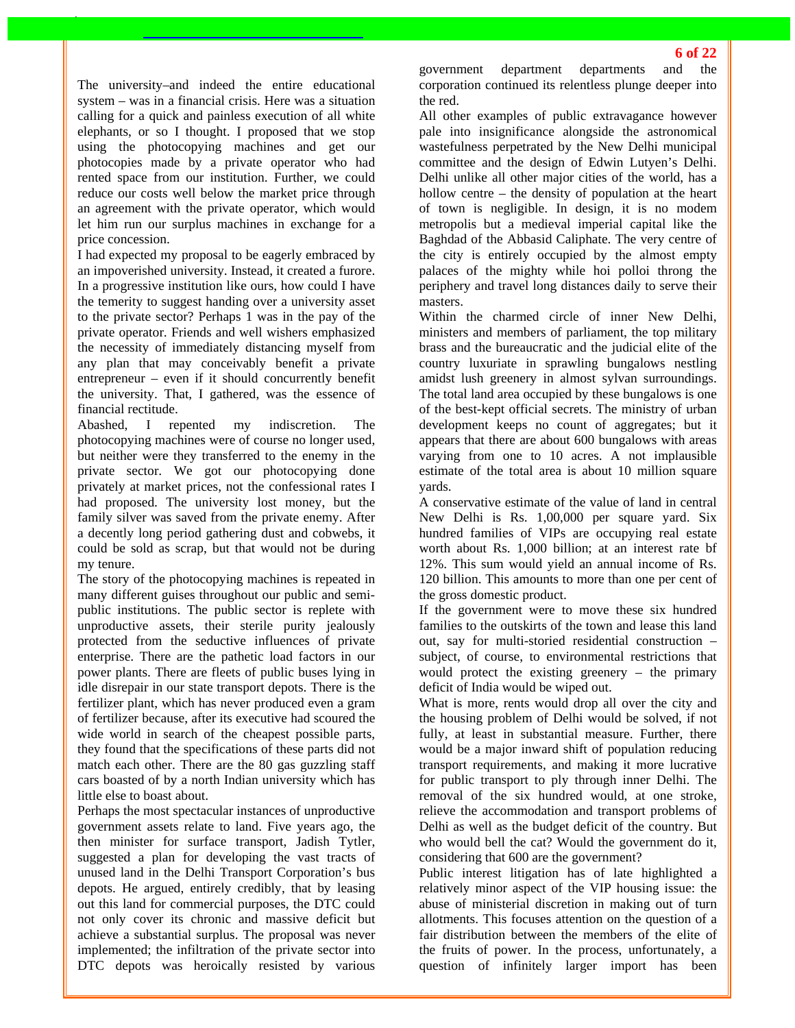The university–and indeed the entire educational system – was in a financial crisis. Here was a situation calling for a quick and painless execution of all white elephants, or so I thought. I proposed that we stop using the photocopying machines and get our photocopies made by a private operator who had rented space from our institution. Further, we could reduce our costs well below the market price through an agreement with the private operator, which would let him run our surplus machines in exchange for a price concession.

I had expected my proposal to be eagerly embraced by an impoverished university. Instead, it created a furore. In a progressive institution like ours, how could I have the temerity to suggest handing over a university asset to the private sector? Perhaps 1 was in the pay of the private operator. Friends and well wishers emphasized the necessity of immediately distancing myself from any plan that may conceivably benefit a private entrepreneur – even if it should concurrently benefit the university. That, I gathered, was the essence of financial rectitude.

Abashed, I repented my indiscretion. The photocopying machines were of course no longer used, but neither were they transferred to the enemy in the private sector. We got our photocopying done privately at market prices, not the confessional rates I had proposed. The university lost money, but the family silver was saved from the private enemy. After a decently long period gathering dust and cobwebs, it could be sold as scrap, but that would not be during my tenure.

The story of the photocopying machines is repeated in many different guises throughout our public and semipublic institutions. The public sector is replete with unproductive assets, their sterile purity jealously protected from the seductive influences of private enterprise. There are the pathetic load factors in our power plants. There are fleets of public buses lying in idle disrepair in our state transport depots. There is the fertilizer plant, which has never produced even a gram of fertilizer because, after its executive had scoured the wide world in search of the cheapest possible parts, they found that the specifications of these parts did not match each other. There are the 80 gas guzzling staff cars boasted of by a north Indian university which has little else to boast about.

Perhaps the most spectacular instances of unproductive government assets relate to land. Five years ago, the then minister for surface transport, Jadish Tytler, suggested a plan for developing the vast tracts of unused land in the Delhi Transport Corporation's bus depots. He argued, entirely credibly, that by leasing out this land for commercial purposes, the DTC could not only cover its chronic and massive deficit but achieve a substantial surplus. The proposal was never implemented; the infiltration of the private sector into DTC depots was heroically resisted by various government department departments and the corporation continued its relentless plunge deeper into the red.

All other examples of public extravagance however pale into insignificance alongside the astronomical wastefulness perpetrated by the New Delhi municipal committee and the design of Edwin Lutyen's Delhi. Delhi unlike all other major cities of the world, has a hollow centre – the density of population at the heart of town is negligible. In design, it is no modem metropolis but a medieval imperial capital like the Baghdad of the Abbasid Caliphate. The very centre of the city is entirely occupied by the almost empty palaces of the mighty while hoi polloi throng the periphery and travel long distances daily to serve their masters.

Within the charmed circle of inner New Delhi, ministers and members of parliament, the top military brass and the bureaucratic and the judicial elite of the country luxuriate in sprawling bungalows nestling amidst lush greenery in almost sylvan surroundings. The total land area occupied by these bungalows is one of the best-kept official secrets. The ministry of urban development keeps no count of aggregates; but it appears that there are about 600 bungalows with areas varying from one to 10 acres. A not implausible estimate of the total area is about 10 million square yards.

A conservative estimate of the value of land in central New Delhi is Rs. 1,00,000 per square yard. Six hundred families of VIPs are occupying real estate worth about Rs. 1,000 billion; at an interest rate bf 12%. This sum would yield an annual income of Rs. 120 billion. This amounts to more than one per cent of the gross domestic product.

If the government were to move these six hundred families to the outskirts of the town and lease this land out, say for multi-storied residential construction – subject, of course, to environmental restrictions that would protect the existing greenery – the primary deficit of India would be wiped out.

What is more, rents would drop all over the city and the housing problem of Delhi would be solved, if not fully, at least in substantial measure. Further, there would be a major inward shift of population reducing transport requirements, and making it more lucrative for public transport to ply through inner Delhi. The removal of the six hundred would, at one stroke, relieve the accommodation and transport problems of Delhi as well as the budget deficit of the country. But who would bell the cat? Would the government do it, considering that 600 are the government?

Public interest litigation has of late highlighted a relatively minor aspect of the VIP housing issue: the abuse of ministerial discretion in making out of turn allotments. This focuses attention on the question of a fair distribution between the members of the elite of the fruits of power. In the process, unfortunately, a question of infinitely larger import has been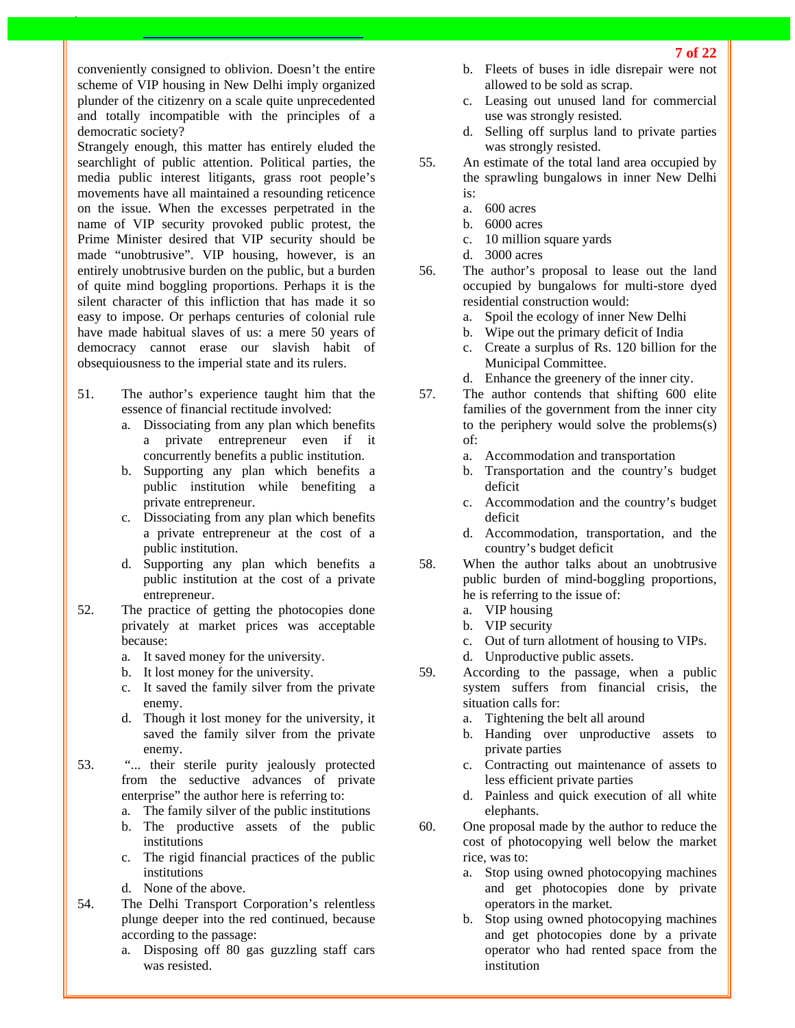conveniently consigned to oblivion. Doesn't the entire scheme of VIP housing in New Delhi imply organized plunder of the citizenry on a scale quite unprecedented and totally incompatible with the principles of a democratic society?

Strangely enough, this matter has entirely eluded the searchlight of public attention. Political parties, the media public interest litigants, grass root people's movements have all maintained a resounding reticence on the issue. When the excesses perpetrated in the name of VIP security provoked public protest, the Prime Minister desired that VIP security should be made "unobtrusive". VIP housing, however, is an entirely unobtrusive burden on the public, but a burden of quite mind boggling proportions. Perhaps it is the silent character of this infliction that has made it so easy to impose. Or perhaps centuries of colonial rule have made habitual slaves of us: a mere 50 years of democracy cannot erase our slavish habit of obsequiousness to the imperial state and its rulers.

- 51. The author's experience taught him that the essence of financial rectitude involved:
	- a. Dissociating from any plan which benefits a private entrepreneur even if it concurrently benefits a public institution.
	- b. Supporting any plan which benefits a public institution while benefiting a private entrepreneur.
	- c. Dissociating from any plan which benefits a private entrepreneur at the cost of a public institution.
	- d. Supporting any plan which benefits a public institution at the cost of a private entrepreneur.
- 52. The practice of getting the photocopies done privately at market prices was acceptable because:
	- a. It saved money for the university.
	- b. It lost money for the university.
	- c. It saved the family silver from the private enemy.
	- d. Though it lost money for the university, it saved the family silver from the private enemy.
- 53. "... their sterile purity jealously protected from the seductive advances of private enterprise" the author here is referring to:
	- a. The family silver of the public institutions
	- b. The productive assets of the public institutions
	- c. The rigid financial practices of the public institutions
	- d. None of the above.
- 54. The Delhi Transport Corporation's relentless plunge deeper into the red continued, because according to the passage:
	- a. Disposing off 80 gas guzzling staff cars was resisted.
- b. Fleets of buses in idle disrepair were not allowed to be sold as scrap.
- c. Leasing out unused land for commercial use was strongly resisted.
- d. Selling off surplus land to private parties was strongly resisted.
- 55. An estimate of the total land area occupied by the sprawling bungalows in inner New Delhi is:
	- a. 600 acres
	- b. 6000 acres
	- c. 10 million square yards
	- d. 3000 acres
- 56. The author's proposal to lease out the land occupied by bungalows for multi-store dyed residential construction would:
	- a. Spoil the ecology of inner New Delhi
	- b. Wipe out the primary deficit of India
	- c. Create a surplus of Rs. 120 billion for the Municipal Committee.
	- d. Enhance the greenery of the inner city.
- 57. The author contends that shifting 600 elite families of the government from the inner city to the periphery would solve the problems(s) of:
	- a. Accommodation and transportation
	- b. Transportation and the country's budget deficit
	- c. Accommodation and the country's budget deficit
	- d. Accommodation, transportation, and the country's budget deficit
- 58. When the author talks about an unobtrusive public burden of mind-boggling proportions, he is referring to the issue of:
	- a. VIP housing
	- b. VIP security
	- c. Out of turn allotment of housing to VIPs.
	- d. Unproductive public assets.
- 59. According to the passage, when a public system suffers from financial crisis, the situation calls for:
	- a. Tightening the belt all around
	- b. Handing over unproductive assets to private parties
	- c. Contracting out maintenance of assets to less efficient private parties
	- d. Painless and quick execution of all white elephants.
- 60. One proposal made by the author to reduce the cost of photocopying well below the market rice, was to:
	- a. Stop using owned photocopying machines and get photocopies done by private operators in the market.
	- b. Stop using owned photocopying machines and get photocopies done by a private operator who had rented space from the institution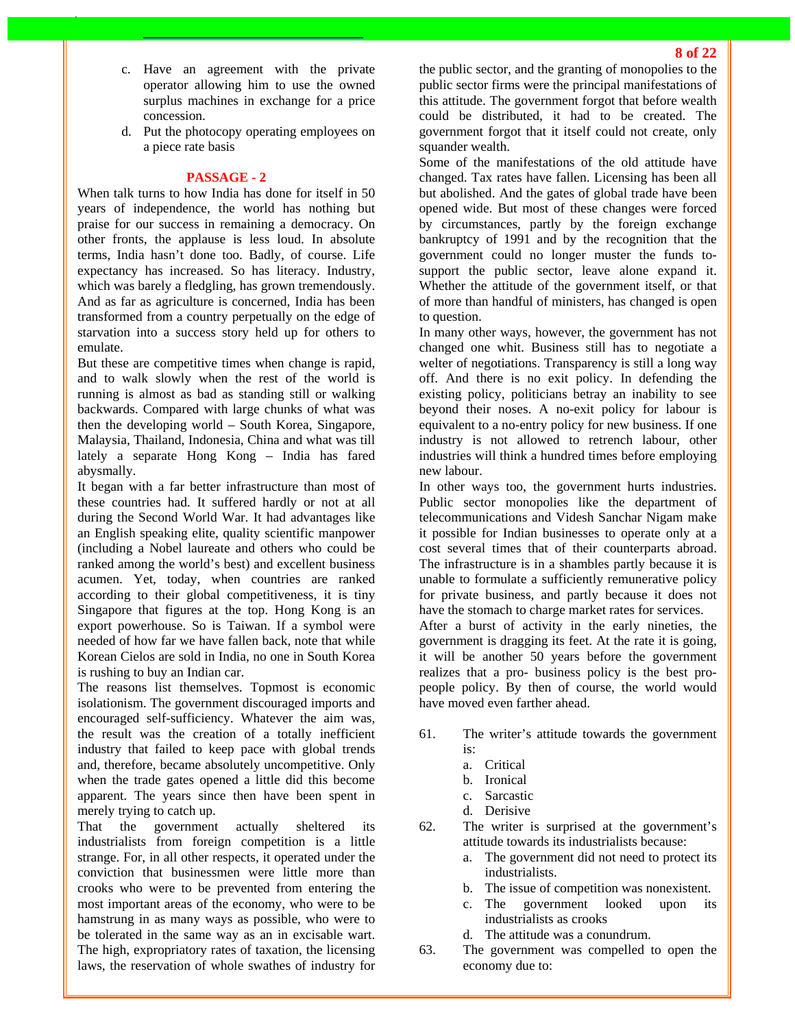d. Put the photocopy operating employees on a piece rate basis

# **PASSAGE - 2**

When talk turns to how India has done for itself in 50 years of independence, the world has nothing but praise for our success in remaining a democracy. On other fronts, the applause is less loud. In absolute terms, India hasn't done too. Badly, of course. Life expectancy has increased. So has literacy. Industry, which was barely a fledgling, has grown tremendously. And as far as agriculture is concerned, India has been transformed from a country perpetually on the edge of starvation into a success story held up for others to emulate.

But these are competitive times when change is rapid, and to walk slowly when the rest of the world is running is almost as bad as standing still or walking backwards. Compared with large chunks of what was then the developing world – South Korea, Singapore, Malaysia, Thailand, Indonesia, China and what was till lately a separate Hong Kong – India has fared abysmally.

It began with a far better infrastructure than most of these countries had. It suffered hardly or not at all during the Second World War. It had advantages like an English speaking elite, quality scientific manpower (including a Nobel laureate and others who could be ranked among the world's best) and excellent business acumen. Yet, today, when countries are ranked according to their global competitiveness, it is tiny Singapore that figures at the top. Hong Kong is an export powerhouse. So is Taiwan. If a symbol were needed of how far we have fallen back, note that while Korean Cielos are sold in India, no one in South Korea is rushing to buy an Indian car.

The reasons list themselves. Topmost is economic isolationism. The government discouraged imports and encouraged self-sufficiency. Whatever the aim was, the result was the creation of a totally inefficient industry that failed to keep pace with global trends and, therefore, became absolutely uncompetitive. Only when the trade gates opened a little did this become apparent. The years since then have been spent in merely trying to catch up.

That the government actually sheltered its industrialists from foreign competition is a little strange. For, in all other respects, it operated under the conviction that businessmen were little more than crooks who were to be prevented from entering the most important areas of the economy, who were to be hamstrung in as many ways as possible, who were to be tolerated in the same way as an in excisable wart. The high, expropriatory rates of taxation, the licensing laws, the reservation of whole swathes of industry for the public sector, and the granting of monopolies to the public sector firms were the principal manifestations of this attitude. The government forgot that before wealth could be distributed, it had to be created. The government forgot that it itself could not create, only squander wealth.

Some of the manifestations of the old attitude have changed. Tax rates have fallen. Licensing has been all but abolished. And the gates of global trade have been opened wide. But most of these changes were forced by circumstances, partly by the foreign exchange bankruptcy of 1991 and by the recognition that the government could no longer muster the funds tosupport the public sector, leave alone expand it. Whether the attitude of the government itself, or that of more than handful of ministers, has changed is open to question.

In many other ways, however, the government has not changed one whit. Business still has to negotiate a welter of negotiations. Transparency is still a long way off. And there is no exit policy. In defending the existing policy, politicians betray an inability to see beyond their noses. A no-exit policy for labour is equivalent to a no-entry policy for new business. If one industry is not allowed to retrench labour, other industries will think a hundred times before employing new labour.

In other ways too, the government hurts industries. Public sector monopolies like the department of telecommunications and Videsh Sanchar Nigam make it possible for Indian businesses to operate only at a cost several times that of their counterparts abroad. The infrastructure is in a shambles partly because it is unable to formulate a sufficiently remunerative policy for private business, and partly because it does not have the stomach to charge market rates for services.

After a burst of activity in the early nineties, the government is dragging its feet. At the rate it is going, it will be another 50 years before the government realizes that a pro- business policy is the best propeople policy. By then of course, the world would have moved even farther ahead.

- 61. The writer's attitude towards the government is:
	- a. Critical
	- b. Ironical
	- c. Sarcastic
	- d. Derisive
- 62. The writer is surprised at the government's attitude towards its industrialists because:
	- a. The government did not need to protect its industrialists.
	- b. The issue of competition was nonexistent.
	- c. The government looked upon its industrialists as crooks
	- d. The attitude was a conundrum.
- 63. The government was compelled to open the economy due to: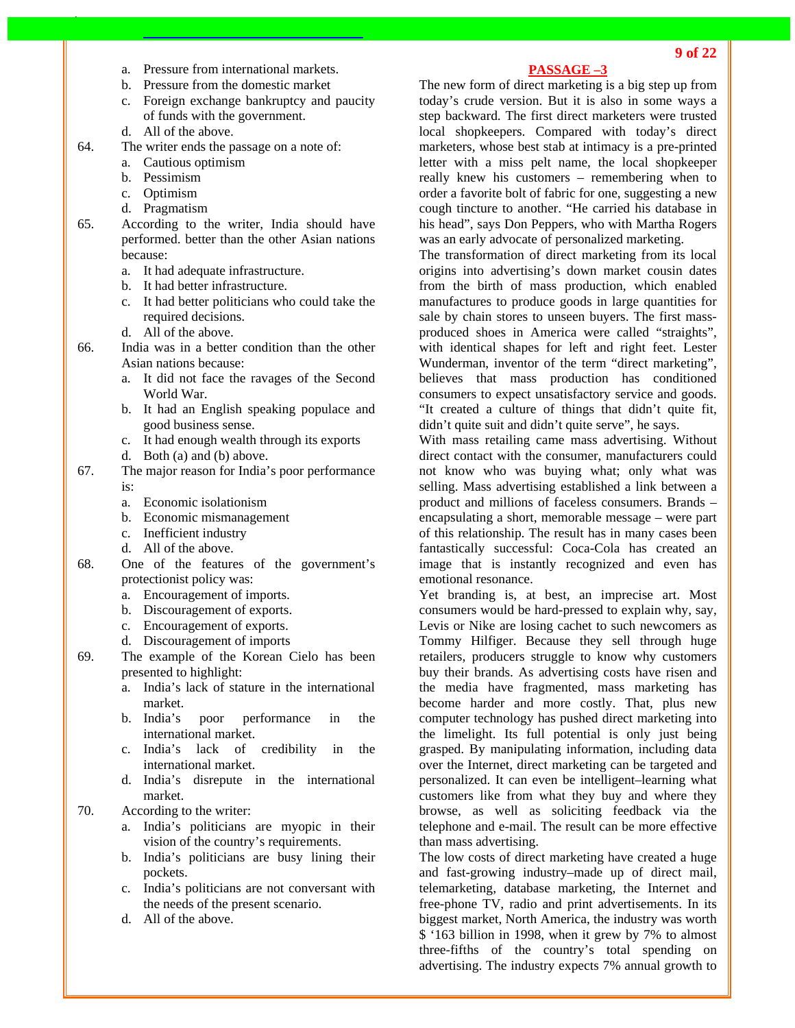- a. Pressure from international markets.
- b. Pressure from the domestic market
- c. Foreign exchange bankruptcy and paucity of funds with the government.
- d. All of the above.
- 64. The writer ends the passage on a note of:
	- a. Cautious optimism
	- b. Pessimism
	- c. Optimism
	- d. Pragmatism
- 65. According to the writer, India should have performed. better than the other Asian nations because:
	- a. It had adequate infrastructure.
	- b. It had better infrastructure.
	- c. It had better politicians who could take the required decisions.
	- d. All of the above.
- 66. India was in a better condition than the other Asian nations because:
	- a. It did not face the ravages of the Second World War.
	- b. It had an English speaking populace and good business sense.
	- c. It had enough wealth through its exports
	- d. Both (a) and (b) above.
- 67. The major reason for India's poor performance is:
	- a. Economic isolationism
	- b. Economic mismanagement
	- c. Inefficient industry
	- d. All of the above.
- 68. One of the features of the government's protectionist policy was:
	- a. Encouragement of imports.
	- b. Discouragement of exports.
	- c. Encouragement of exports.
	- d. Discouragement of imports
- 69. The example of the Korean Cielo has been presented to highlight:
	- a. India's lack of stature in the international market.
	- b. India's poor performance in the international market.
	- c. India's lack of credibility in the international market.
	- d. India's disrepute in the international market.
- 70. According to the writer:
	- a. India's politicians are myopic in their vision of the country's requirements.
	- b. India's politicians are busy lining their pockets.
	- c. India's politicians are not conversant with the needs of the present scenario.
	- d. All of the above.

# **PASSAGE –3**

The new form of direct marketing is a big step up from today's crude version. But it is also in some ways a step backward. The first direct marketers were trusted local shopkeepers. Compared with today's direct marketers, whose best stab at intimacy is a pre-printed letter with a miss pelt name, the local shopkeeper really knew his customers – remembering when to order a favorite bolt of fabric for one, suggesting a new cough tincture to another. "He carried his database in his head", says Don Peppers, who with Martha Rogers was an early advocate of personalized marketing.

The transformation of direct marketing from its local origins into advertising's down market cousin dates from the birth of mass production, which enabled manufactures to produce goods in large quantities for sale by chain stores to unseen buyers. The first massproduced shoes in America were called "straights", with identical shapes for left and right feet. Lester Wunderman, inventor of the term "direct marketing", believes that mass production has conditioned consumers to expect unsatisfactory service and goods. "It created a culture of things that didn't quite fit, didn't quite suit and didn't quite serve", he says.

With mass retailing came mass advertising. Without direct contact with the consumer, manufacturers could not know who was buying what; only what was selling. Mass advertising established a link between a product and millions of faceless consumers. Brands – encapsulating a short, memorable message – were part of this relationship. The result has in many cases been fantastically successful: Coca-Cola has created an image that is instantly recognized and even has emotional resonance.

Yet branding is, at best, an imprecise art. Most consumers would be hard-pressed to explain why, say, Levis or Nike are losing cachet to such newcomers as Tommy Hilfiger. Because they sell through huge retailers, producers struggle to know why customers buy their brands. As advertising costs have risen and the media have fragmented, mass marketing has become harder and more costly. That, plus new computer technology has pushed direct marketing into the limelight. Its full potential is only just being grasped. By manipulating information, including data over the Internet, direct marketing can be targeted and personalized. It can even be intelligent–learning what customers like from what they buy and where they browse, as well as soliciting feedback via the telephone and e-mail. The result can be more effective than mass advertising.

The low costs of direct marketing have created a huge and fast-growing industry–made up of direct mail, telemarketing, database marketing, the Internet and free-phone TV, radio and print advertisements. In its biggest market, North America, the industry was worth \$ '163 billion in 1998, when it grew by 7% to almost three-fifths of the country's total spending on advertising. The industry expects 7% annual growth to

# **9 of 22**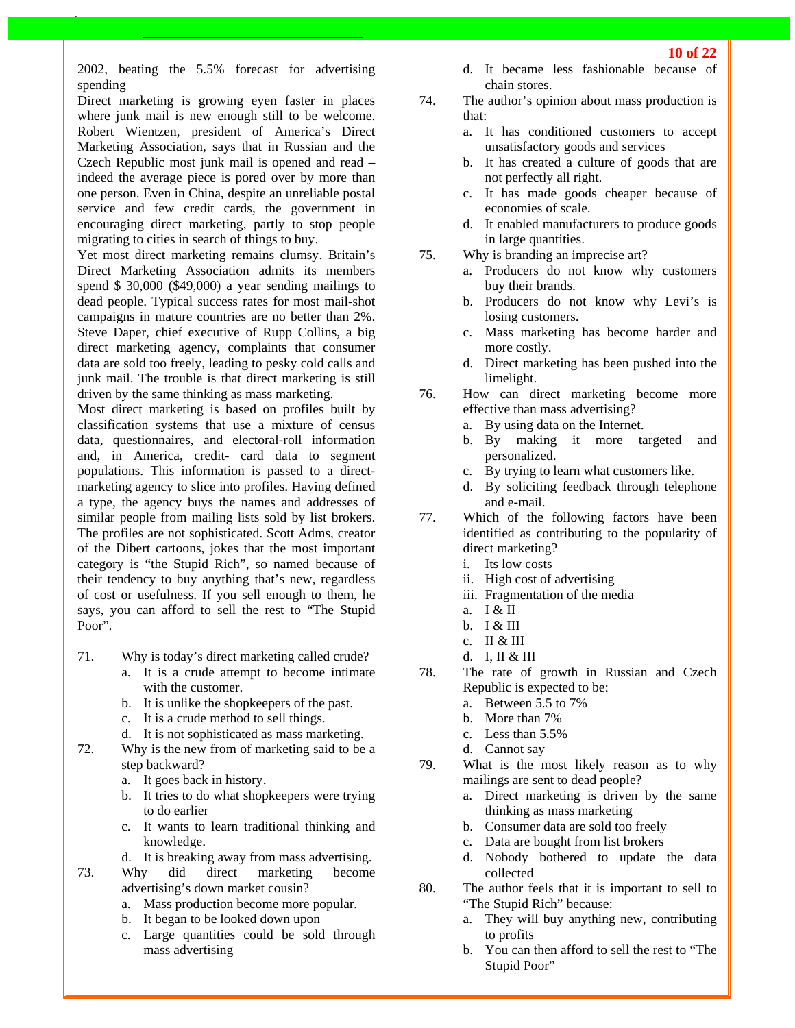2002, beating the 5.5% forecast for advertising spending

Direct marketing is growing eyen faster in places where junk mail is new enough still to be welcome. Robert Wientzen, president of America's Direct Marketing Association, says that in Russian and the Czech Republic most junk mail is opened and read – indeed the average piece is pored over by more than one person. Even in China, despite an unreliable postal service and few credit cards, the government in encouraging direct marketing, partly to stop people migrating to cities in search of things to buy.

Yet most direct marketing remains clumsy. Britain's Direct Marketing Association admits its members spend \$ 30,000 (\$49,000) a year sending mailings to dead people. Typical success rates for most mail-shot campaigns in mature countries are no better than 2%. Steve Daper, chief executive of Rupp Collins, a big direct marketing agency, complaints that consumer data are sold too freely, leading to pesky cold calls and junk mail. The trouble is that direct marketing is still driven by the same thinking as mass marketing.

Most direct marketing is based on profiles built by classification systems that use a mixture of census data, questionnaires, and electoral-roll information and, in America, credit- card data to segment populations. This information is passed to a directmarketing agency to slice into profiles. Having defined a type, the agency buys the names and addresses of similar people from mailing lists sold by list brokers. The profiles are not sophisticated. Scott Adms, creator of the Dibert cartoons, jokes that the most important category is "the Stupid Rich", so named because of their tendency to buy anything that's new, regardless of cost or usefulness. If you sell enough to them, he says, you can afford to sell the rest to "The Stupid Poor".

- 71. Why is today's direct marketing called crude?
	- a. It is a crude attempt to become intimate with the customer.
	- b. It is unlike the shopkeepers of the past.
	- c. It is a crude method to sell things.
	- d. It is not sophisticated as mass marketing.
- 72. Why is the new from of marketing said to be a step backward?
	- a. It goes back in history.
	- b. It tries to do what shopkeepers were trying to do earlier
	- c. It wants to learn traditional thinking and knowledge.
	- d. It is breaking away from mass advertising.
- 73. Why did direct marketing become advertising's down market cousin?
	- a. Mass production become more popular.
	- b. It began to be looked down upon
	- c. Large quantities could be sold through mass advertising
- d. It became less fashionable because of chain stores.
- 74. The author's opinion about mass production is that:
	- a. It has conditioned customers to accept unsatisfactory goods and services
	- b. It has created a culture of goods that are not perfectly all right.
	- c. It has made goods cheaper because of economies of scale.
	- d. It enabled manufacturers to produce goods in large quantities.
- 75. Why is branding an imprecise art?
	- a. Producers do not know why customers buy their brands.
	- b. Producers do not know why Levi's is losing customers.
	- c. Mass marketing has become harder and more costly.
	- d. Direct marketing has been pushed into the limelight.
- 76. How can direct marketing become more effective than mass advertising?
	- a. By using data on the Internet.
	- b. By making it more targeted and personalized.
	- c. By trying to learn what customers like.
	- d. By soliciting feedback through telephone and e-mail.
- 77. Which of the following factors have been identified as contributing to the popularity of direct marketing?
	- i. Its low costs
	- ii. High cost of advertising
	- iii. Fragmentation of the media
	- a. I  $\&$  II.
	- b. I & III
	- c. II & III
	- d. I, II & III
- 78. The rate of growth in Russian and Czech Republic is expected to be:
	- a. Between 5.5 to 7%
	- b. More than 7%
	- c. Less than 5.5%
	- d. Cannot say
- 79. What is the most likely reason as to why mailings are sent to dead people?
	- a. Direct marketing is driven by the same thinking as mass marketing
	- b. Consumer data are sold too freely
	- c. Data are bought from list brokers
	- d. Nobody bothered to update the data collected
- 80. The author feels that it is important to sell to "The Stupid Rich" because:
	- a. They will buy anything new, contributing to profits
	- b. You can then afford to sell the rest to "The Stupid Poor"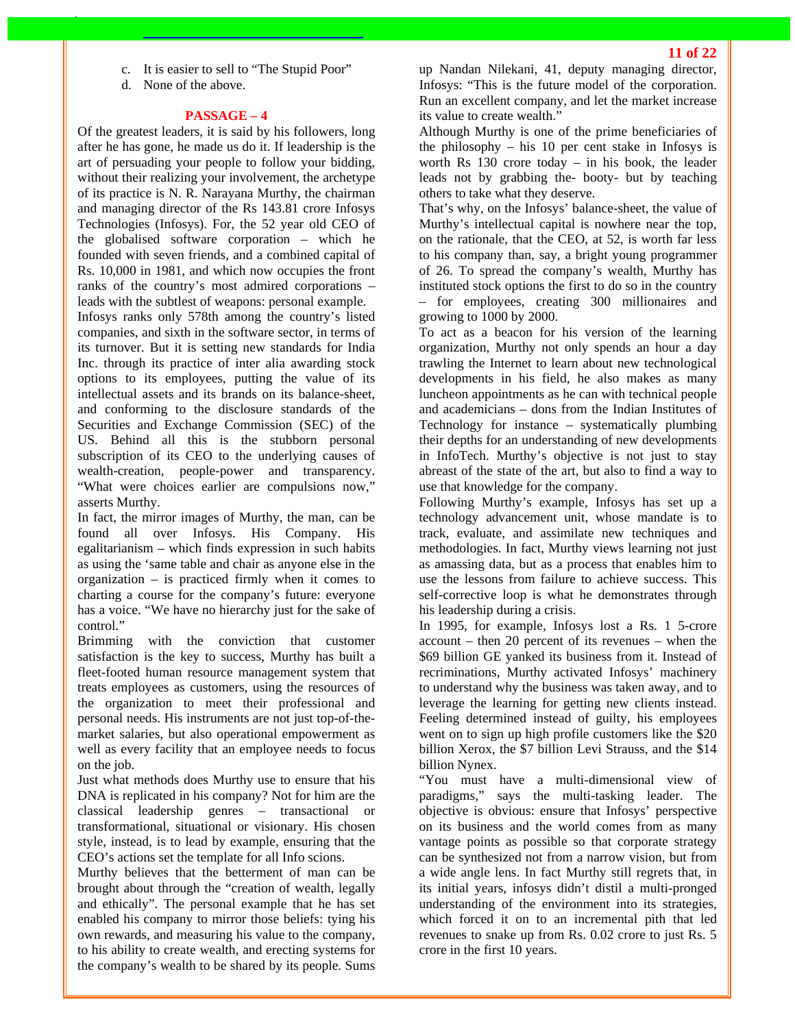- c. It is easier to sell to "The Stupid Poor"
- d. None of the above.

#### **PASSAGE – 4**

Of the greatest leaders, it is said by his followers, long after he has gone, he made us do it. If leadership is the art of persuading your people to follow your bidding, without their realizing your involvement, the archetype of its practice is N. R. Narayana Murthy, the chairman and managing director of the Rs 143.81 crore Infosys Technologies (Infosys). For, the 52 year old CEO of the globalised software corporation – which he founded with seven friends, and a combined capital of Rs. 10,000 in 1981, and which now occupies the front ranks of the country's most admired corporations – leads with the subtlest of weapons: personal example.

Infosys ranks only 578th among the country's listed companies, and sixth in the software sector, in terms of its turnover. But it is setting new standards for India Inc. through its practice of inter alia awarding stock options to its employees, putting the value of its intellectual assets and its brands on its balance-sheet, and conforming to the disclosure standards of the Securities and Exchange Commission (SEC) of the US. Behind all this is the stubborn personal subscription of its CEO to the underlying causes of wealth-creation, people-power and transparency. "What were choices earlier are compulsions now," asserts Murthy.

In fact, the mirror images of Murthy, the man, can be found all over Infosys. His Company. His egalitarianism – which finds expression in such habits as using the 'same table and chair as anyone else in the organization – is practiced firmly when it comes to charting a course for the company's future: everyone has a voice. "We have no hierarchy just for the sake of control."

Brimming with the conviction that customer satisfaction is the key to success, Murthy has built a fleet-footed human resource management system that treats employees as customers, using the resources of the organization to meet their professional and personal needs. His instruments are not just top-of-themarket salaries, but also operational empowerment as well as every facility that an employee needs to focus on the job.

Just what methods does Murthy use to ensure that his DNA is replicated in his company? Not for him are the classical leadership genres – transactional or transformational, situational or visionary. His chosen style, instead, is to lead by example, ensuring that the CEO's actions set the template for all Info scions.

Murthy believes that the betterment of man can be brought about through the "creation of wealth, legally and ethically". The personal example that he has set enabled his company to mirror those beliefs: tying his own rewards, and measuring his value to the company, to his ability to create wealth, and erecting systems for the company's wealth to be shared by its people. Sums up Nandan Nilekani, 41, deputy managing director, Infosys: "This is the future model of the corporation. Run an excellent company, and let the market increase its value to create wealth."

Although Murthy is one of the prime beneficiaries of the philosophy – his 10 per cent stake in Infosys is worth Rs 130 crore today – in his book, the leader leads not by grabbing the- booty- but by teaching others to take what they deserve.

That's why, on the Infosys' balance-sheet, the value of Murthy's intellectual capital is nowhere near the top, on the rationale, that the CEO, at 52, is worth far less to his company than, say, a bright young programmer of 26. To spread the company's wealth, Murthy has instituted stock options the first to do so in the country – for employees, creating 300 millionaires and growing to 1000 by 2000.

To act as a beacon for his version of the learning organization, Murthy not only spends an hour a day trawling the Internet to learn about new technological developments in his field, he also makes as many luncheon appointments as he can with technical people and academicians – dons from the Indian Institutes of Technology for instance – systematically plumbing their depths for an understanding of new developments in InfoTech. Murthy's objective is not just to stay abreast of the state of the art, but also to find a way to use that knowledge for the company.

Following Murthy's example, Infosys has set up a technology advancement unit, whose mandate is to track, evaluate, and assimilate new techniques and methodologies. In fact, Murthy views learning not just as amassing data, but as a process that enables him to use the lessons from failure to achieve success. This self-corrective loop is what he demonstrates through his leadership during a crisis.

In 1995, for example, Infosys lost a Rs. 1 5-crore account – then 20 percent of its revenues – when the \$69 billion GE yanked its business from it. Instead of recriminations, Murthy activated Infosys' machinery to understand why the business was taken away, and to leverage the learning for getting new clients instead. Feeling determined instead of guilty, his employees went on to sign up high profile customers like the \$20 billion Xerox, the \$7 billion Levi Strauss, and the \$14 billion Nynex.

"You must have a multi-dimensional view of paradigms," says the multi-tasking leader. The objective is obvious: ensure that Infosys' perspective on its business and the world comes from as many vantage points as possible so that corporate strategy can be synthesized not from a narrow vision, but from a wide angle lens. In fact Murthy still regrets that, in its initial years, infosys didn't distil a multi-pronged understanding of the environment into its strategies, which forced it on to an incremental pith that led revenues to snake up from Rs. 0.02 crore to just Rs. 5 crore in the first 10 years.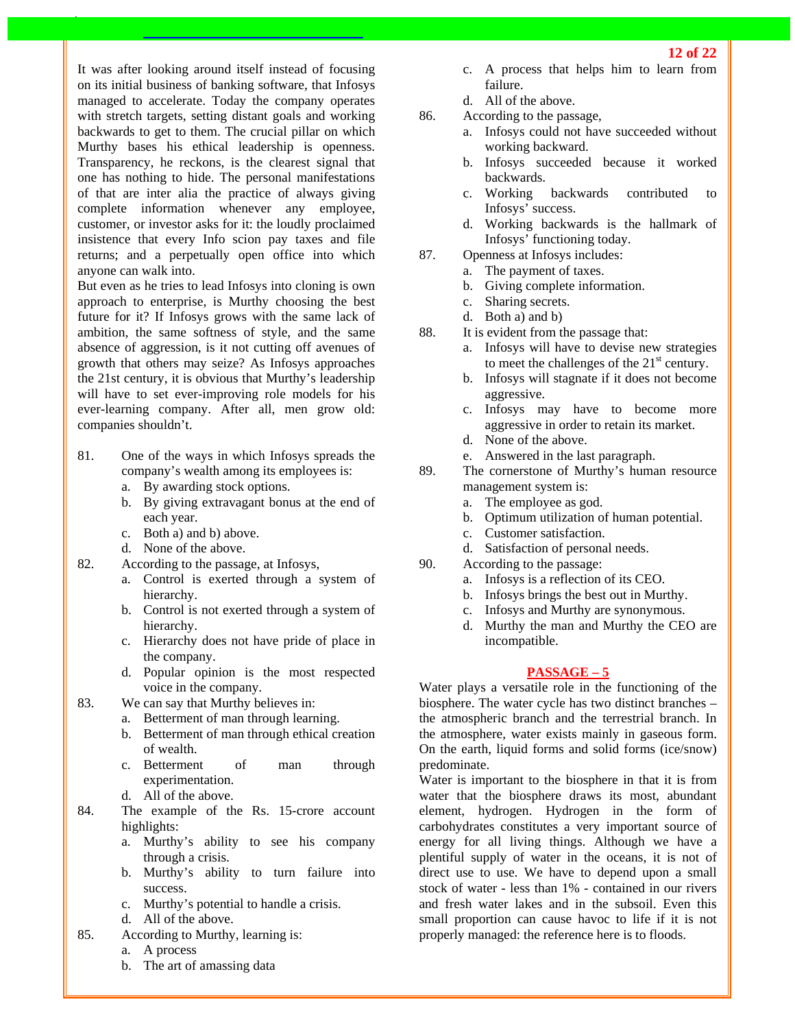It was after looking around itself instead of focusing on its initial business of banking software, that Infosys managed to accelerate. Today the company operates with stretch targets, setting distant goals and working backwards to get to them. The crucial pillar on which Murthy bases his ethical leadership is openness. Transparency, he reckons, is the clearest signal that one has nothing to hide. The personal manifestations of that are inter alia the practice of always giving complete information whenever any employee, customer, or investor asks for it: the loudly proclaimed insistence that every Info scion pay taxes and file returns; and a perpetually open office into which anyone can walk into.

But even as he tries to lead Infosys into cloning is own approach to enterprise, is Murthy choosing the best future for it? If Infosys grows with the same lack of ambition, the same softness of style, and the same absence of aggression, is it not cutting off avenues of growth that others may seize? As Infosys approaches the 21st century, it is obvious that Murthy's leadership will have to set ever-improving role models for his ever-learning company. After all, men grow old: companies shouldn't.

- 81. One of the ways in which Infosys spreads the company's wealth among its employees is:
	- a. By awarding stock options.
	- b. By giving extravagant bonus at the end of each year.
	- c. Both a) and b) above.
	- d. None of the above.
- 82. According to the passage, at Infosys,
	- a. Control is exerted through a system of hierarchy.
	- b. Control is not exerted through a system of hierarchy.
	- c. Hierarchy does not have pride of place in the company.
	- d. Popular opinion is the most respected voice in the company.
- 83. We can say that Murthy believes in:
	- a. Betterment of man through learning.
	- b. Betterment of man through ethical creation of wealth.
	- c. Betterment of man through experimentation.
	- d. All of the above.
- 84. The example of the Rs. 15-crore account highlights:
	- a. Murthy's ability to see his company through a crisis.
	- b. Murthy's ability to turn failure into success.
	- c. Murthy's potential to handle a crisis.
	- d. All of the above.
- 85. According to Murthy, learning is:
	- a. A process
	- b. The art of amassing data
- c. A process that helps him to learn from failure.
- d. All of the above.
- 86. According to the passage,
	- a. Infosys could not have succeeded without working backward.
	- b. Infosys succeeded because it worked backwards.
	- c. Working backwards contributed to Infosys' success.
	- d. Working backwards is the hallmark of Infosys' functioning today.
- 87. Openness at Infosys includes:
	- a. The payment of taxes.
		- b. Giving complete information.
		- c. Sharing secrets.
		- d. Both a) and b)
- 88. It is evident from the passage that:
	- a. Infosys will have to devise new strategies to meet the challenges of the  $21<sup>st</sup>$  century.
	- b. Infosys will stagnate if it does not become aggressive.
	- c. Infosys may have to become more aggressive in order to retain its market.
	- d. None of the above.
	- e. Answered in the last paragraph.
- 89. The cornerstone of Murthy's human resource management system is:
	- a. The employee as god.
	- b. Optimum utilization of human potential.
	- c. Customer satisfaction.
	- d. Satisfaction of personal needs.
- 90. According to the passage:
	- a. Infosys is a reflection of its CEO.
	- b. Infosys brings the best out in Murthy.
	- c. Infosys and Murthy are synonymous.
	- d. Murthy the man and Murthy the CEO are incompatible.

# **PASSAGE – 5**

Water plays a versatile role in the functioning of the biosphere. The water cycle has two distinct branches – the atmospheric branch and the terrestrial branch. In the atmosphere, water exists mainly in gaseous form. On the earth, liquid forms and solid forms (ice/snow) predominate.

Water is important to the biosphere in that it is from water that the biosphere draws its most, abundant element, hydrogen. Hydrogen in the form of carbohydrates constitutes a very important source of energy for all living things. Although we have a plentiful supply of water in the oceans, it is not of direct use to use. We have to depend upon a small stock of water - less than 1% - contained in our rivers and fresh water lakes and in the subsoil. Even this small proportion can cause havoc to life if it is not properly managed: the reference here is to floods.

# **12 of 22**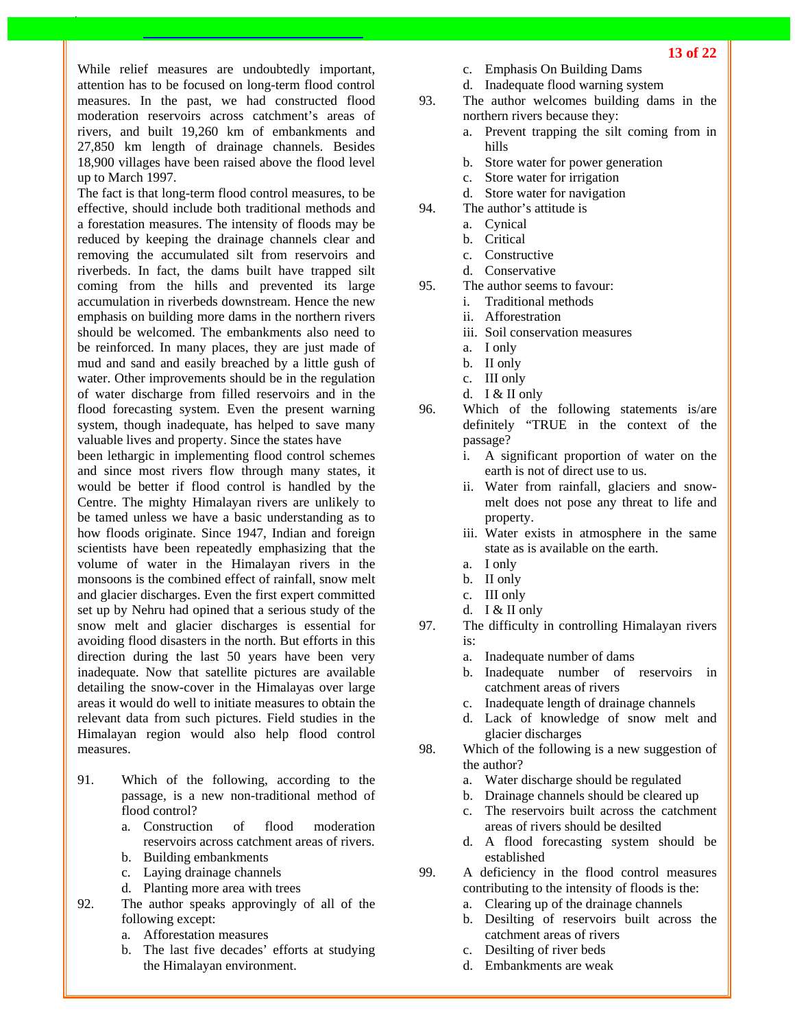While relief measures are undoubtedly important, attention has to be focused on long-term flood control measures. In the past, we had constructed flood moderation reservoirs across catchment's areas of rivers, and built 19,260 km of embankments and 27,850 km length of drainage channels. Besides 18,900 villages have been raised above the flood level up to March 1997.

The fact is that long-term flood control measures, to be effective, should include both traditional methods and a forestation measures. The intensity of floods may be reduced by keeping the drainage channels clear and removing the accumulated silt from reservoirs and riverbeds. In fact, the dams built have trapped silt coming from the hills and prevented its large accumulation in riverbeds downstream. Hence the new emphasis on building more dams in the northern rivers should be welcomed. The embankments also need to be reinforced. In many places, they are just made of mud and sand and easily breached by a little gush of water. Other improvements should be in the regulation of water discharge from filled reservoirs and in the flood forecasting system. Even the present warning system, though inadequate, has helped to save many valuable lives and property. Since the states have

been lethargic in implementing flood control schemes and since most rivers flow through many states, it would be better if flood control is handled by the Centre. The mighty Himalayan rivers are unlikely to be tamed unless we have a basic understanding as to how floods originate. Since 1947, Indian and foreign scientists have been repeatedly emphasizing that the volume of water in the Himalayan rivers in the monsoons is the combined effect of rainfall, snow melt and glacier discharges. Even the first expert committed set up by Nehru had opined that a serious study of the snow melt and glacier discharges is essential for avoiding flood disasters in the north. But efforts in this direction during the last 50 years have been very inadequate. Now that satellite pictures are available detailing the snow-cover in the Himalayas over large areas it would do well to initiate measures to obtain the relevant data from such pictures. Field studies in the Himalayan region would also help flood control measures.

- 91. Which of the following, according to the passage, is a new non-traditional method of flood control?
	- a. Construction of flood moderation reservoirs across catchment areas of rivers.
	- b. Building embankments
	- c. Laying drainage channels
	- d. Planting more area with trees
- 92. The author speaks approvingly of all of the following except:
	- a. Afforestation measures
	- b. The last five decades' efforts at studying the Himalayan environment.
- c. Emphasis On Building Dams
- d. Inadequate flood warning system
- 93. The author welcomes building dams in the northern rivers because they:
	- a. Prevent trapping the silt coming from in hills
	- b. Store water for power generation
	- c. Store water for irrigation
	- d. Store water for navigation
- 94. The author's attitude is
	- a. Cynical
	- b. Critical
	- c. Constructive
	- d. Conservative
- 95. The author seems to favour:
	- i. Traditional methods
	- ii. Afforestration
	- iii. Soil conservation measures
	- a. I only
	- b. II only
	- c. III only
	- d. I & II only
- 96. Which of the following statements is/are definitely "TRUE in the context of the passage?
	- i. A significant proportion of water on the earth is not of direct use to us.
	- ii. Water from rainfall, glaciers and snowmelt does not pose any threat to life and property.
	- iii. Water exists in atmosphere in the same state as is available on the earth.
	- a. I only
	- b. II only
	- c. III only
	- d. I & II only
- 97. The difficulty in controlling Himalayan rivers is:
	- a. Inadequate number of dams
	- b. Inadequate number of reservoirs in catchment areas of rivers
	- c. Inadequate length of drainage channels
	- d. Lack of knowledge of snow melt and glacier discharges
- 98. Which of the following is a new suggestion of the author?
	- a. Water discharge should be regulated
	- b. Drainage channels should be cleared up
	- c. The reservoirs built across the catchment areas of rivers should be desilted
	- d. A flood forecasting system should be established
- 99. A deficiency in the flood control measures contributing to the intensity of floods is the:
	- a. Clearing up of the drainage channels
	- b. Desilting of reservoirs built across the catchment areas of rivers
	- c. Desilting of river beds
	- d. Embankments are weak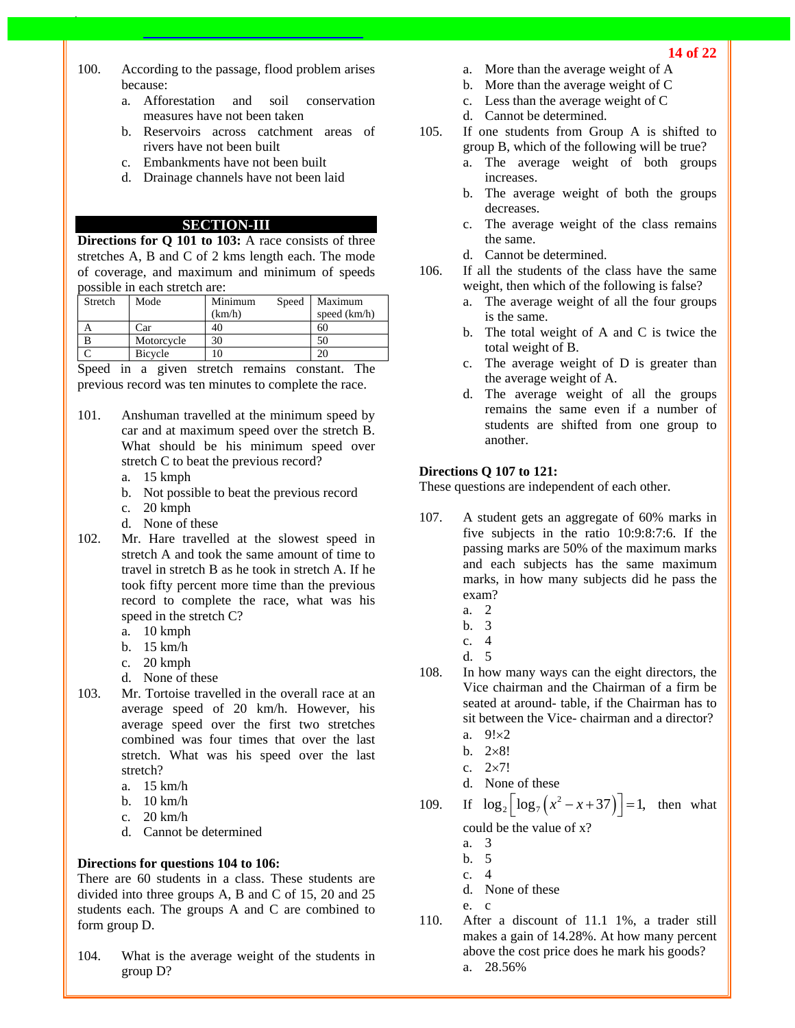- 100. According to the passage, flood problem arises because:
	- a. Afforestation and soil conservation measures have not been taken
	- b. Reservoirs across catchment areas of rivers have not been built
	- c. Embankments have not been built
	- d. Drainage channels have not been laid

# **SECTION-III**

**Directions for Q 101 to 103:** A race consists of three stretches A, B and C of 2 kms length each. The mode of coverage, and maximum and minimum of speeds possible in each stretch are:

| Stretch | Mode           | Minimum | Speed | Maximum      |
|---------|----------------|---------|-------|--------------|
|         |                | (km/h)  |       | speed (km/h) |
|         | Car            | 40      |       | 60           |
|         | Motorcycle     | 30      |       |              |
|         | <b>Bicycle</b> |         |       |              |

|  |  |  | Speed in a given stretch remains constant. The        |  |
|--|--|--|-------------------------------------------------------|--|
|  |  |  | previous record was ten minutes to complete the race. |  |

- 101. Anshuman travelled at the minimum speed by car and at maximum speed over the stretch B. What should be his minimum speed over stretch C to beat the previous record?
	- a. 15 kmph
	- b. Not possible to beat the previous record
	- c. 20 kmph
	- d. None of these
- 102. Mr. Hare travelled at the slowest speed in stretch A and took the same amount of time to travel in stretch B as he took in stretch A. If he took fifty percent more time than the previous record to complete the race, what was his speed in the stretch C?
	- a. 10 kmph
	- b. 15 km/h
	- c. 20 kmph
	- d. None of these
- 103. Mr. Tortoise travelled in the overall race at an average speed of 20 km/h. However, his average speed over the first two stretches combined was four times that over the last stretch. What was his speed over the last stretch?
	- a. 15 km/h
	- b. 10 km/h
	- c. 20 km/h
	- d. Cannot be determined

# **Directions for questions 104 to 106:**

There are 60 students in a class. These students are divided into three groups A, B and C of 15, 20 and 25 students each. The groups A and C are combined to form group D.

104. What is the average weight of the students in group D?

- a. More than the average weight of A
- b. More than the average weight of C
- c. Less than the average weight of C
- d. Cannot be determined.
- 105. If one students from Group A is shifted to group B, which of the following will be true?
	- a. The average weight of both groups increases.
	- b. The average weight of both the groups decreases.
	- c. The average weight of the class remains the same.
	- d. Cannot be determined.
- 106. If all the students of the class have the same weight, then which of the following is false?
	- a. The average weight of all the four groups is the same.
	- b. The total weight of A and C is twice the total weight of B.
	- c. The average weight of D is greater than the average weight of A.
	- d. The average weight of all the groups remains the same even if a number of students are shifted from one group to another.

# **Directions Q 107 to 121:**

These questions are independent of each other.

- 107. A student gets an aggregate of 60% marks in five subjects in the ratio 10:9:8:7:6. If the passing marks are 50% of the maximum marks and each subjects has the same maximum marks, in how many subjects did he pass the exam?
	- a. 2
	- b. 3
	- c. 4
	- d. 5
- 108. In how many ways can the eight directors, the Vice chairman and the Chairman of a firm be seated at around- table, if the Chairman has to sit between the Vice- chairman and a director?
	- a.  $9! \times 2$
	- b.  $2\times8!$
	- c.  $2\times7!$
	- d. None of these
- 109. If  $\log_2 \left[ \log_7 \left( x^2 x + 37 \right) \right] = 1$ , then what could be the value of x?
	- a. 3
	- b. 5
	- c. 4
	- d. None of these
	- e. c
- 110. After a discount of 11.1 1%, a trader still makes a gain of 14.28%. At how many percent above the cost price does he mark his goods? a. 28.56%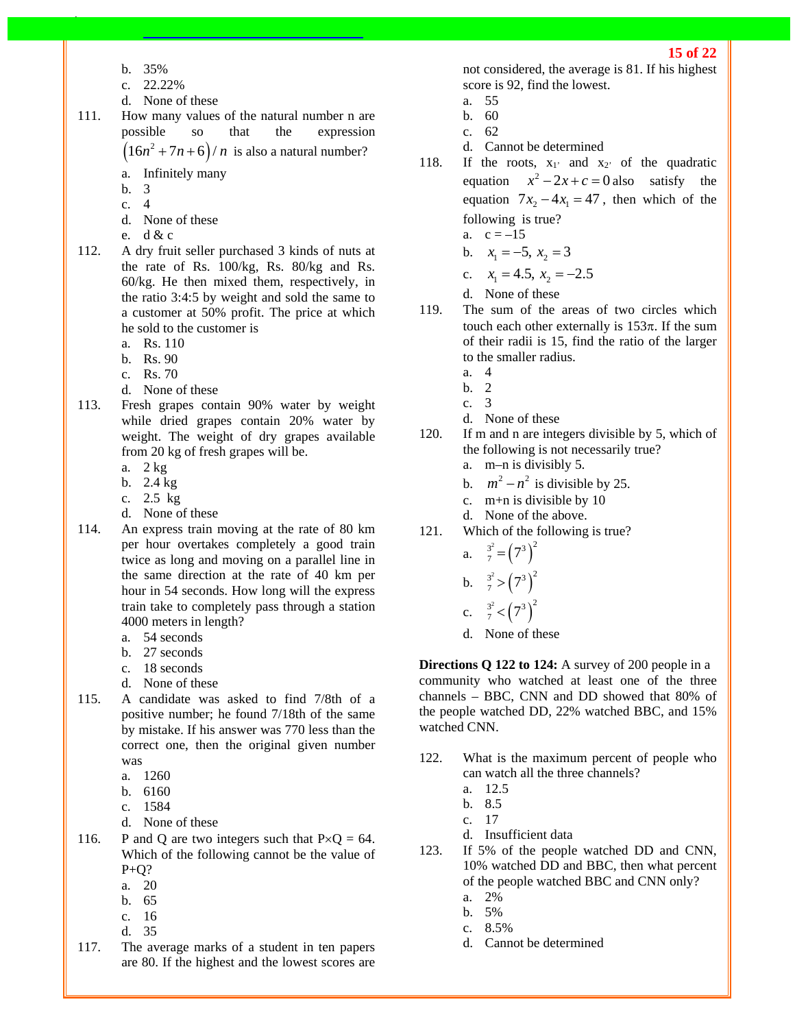**15 of 22**

- b. 35%
- c. 22.22%
- d. None of these
- 111. How many values of the natural number n are possible so that the expression

$$
(16n^2 + 7n + 6)/n
$$
 is also a natural number?

- a. Infinitely many
- b. 3
- c. 4
- d. None of these
- e. d & c
- 112. A dry fruit seller purchased 3 kinds of nuts at the rate of Rs. 100/kg, Rs. 80/kg and Rs. 60/kg. He then mixed them, respectively, in the ratio 3:4:5 by weight and sold the same to a customer at 50% profit. The price at which he sold to the customer is
	- a. Rs. 110
	- b. Rs. 90
	- c. Rs. 70
	- d. None of these
- 113. Fresh grapes contain 90% water by weight while dried grapes contain 20% water by weight. The weight of dry grapes available from 20 kg of fresh grapes will be.
	- a. 2 kg
	- b. 2.4 kg
	- c. 2.5 kg
	- d. None of these
- 114. An express train moving at the rate of 80 km per hour overtakes completely a good train twice as long and moving on a parallel line in the same direction at the rate of 40 km per hour in 54 seconds. How long will the express train take to completely pass through a station 4000 meters in length?
	- a. 54 seconds
	- b. 27 seconds
	- c. 18 seconds
	- d. None of these
- 115. A candidate was asked to find 7/8th of a positive number; he found 7/18th of the same by mistake. If his answer was 770 less than the correct one, then the original given number was
	- a. 1260
	- b. 6160
	- c. 1584
	- d. None of these
- 116. P and O are two integers such that  $P \times O = 64$ . Which of the following cannot be the value of  $P+Q?$ 
	- a. 20
	- b. 65
	- c. 16
	- d. 35
- 117. The average marks of a student in ten papers are 80. If the highest and the lowest scores are

not considered, the average is 81. If his highest score is 92, find the lowest.

- a. 55 b. 60
- c. 62
- d. Cannot be determined
- 118. If the roots,  $x_1$  and  $x_2$  of the quadratic equation  $x^2 - 2x + c = 0$  also satisfy the equation  $7x_2 - 4x_1 = 47$ , then which of the following is true?
	- a.  $c = -15$
	- b.  $x_1 = -5$ ,  $x_2 = 3$

c. 
$$
x_1 = 4.5
$$
,  $x_2 = -2.5$ 

- d. None of these
- 119. The sum of the areas of two circles which touch each other externally is  $153\pi$ . If the sum of their radii is 15, find the ratio of the larger to the smaller radius.
	- a. 4
	- b. 2
	- c. 3
	- d. None of these
- 120. If m and n are integers divisible by 5, which of the following is not necessarily true?
	- a. m–n is divisibly 5.
	- b.  $m^2 n^2$  is divisible by 25.
	- c. m+n is divisible by 10
	- d. None of the above.
- 121. Which of the following is true?
	- a.  $\frac{3^2}{7} = (7^3)^2$
	- b.  $3^2 > (7^3)^2$
	- c.  $\frac{3^2}{7} < (7^3)^2$
	- d. None of these

**Directions Q 122 to 124:** A survey of 200 people in a community who watched at least one of the three channels – BBC, CNN and DD showed that 80% of the people watched DD, 22% watched BBC, and 15% watched CNN.

- 122. What is the maximum percent of people who can watch all the three channels?
	- a. 12.5
	- b. 8.5
	- c. 17
	- d. Insufficient data
- 123. If 5% of the people watched DD and CNN, 10% watched DD and BBC, then what percent of the people watched BBC and CNN only?
	- a. 2%
	- b. 5%
	- c. 8.5%
	- d. Cannot be determined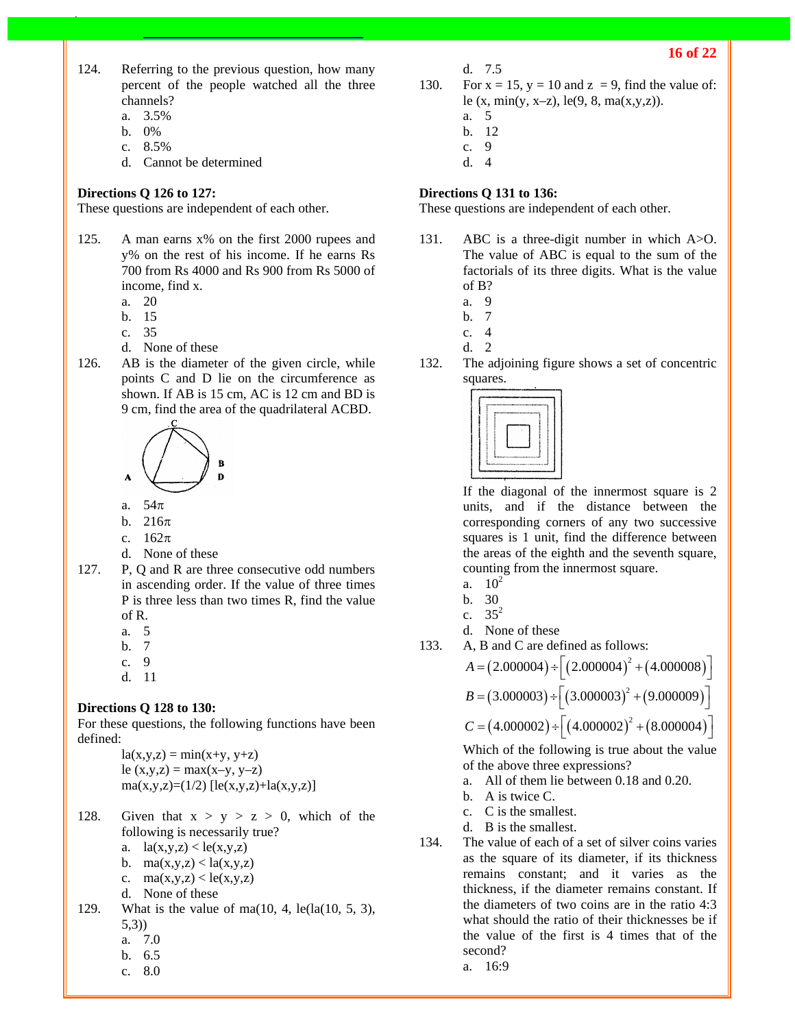- 124. Referring to the previous question, how many percent of the people watched all the three channels?
	- a. 3.5%
	- b. 0%
	- c. 8.5%
	- d. Cannot be determined

## **Directions Q 126 to 127:**

These questions are independent of each other.

- 125. A man earns x% on the first 2000 rupees and y% on the rest of his income. If he earns Rs 700 from Rs 4000 and Rs 900 from Rs 5000 of income, find x.
	- a. 20
	- b. 15
	- c. 35
	- d. None of these
- 126. AB is the diameter of the given circle, while points C and D lie on the circumference as shown. If AB is 15 cm, AC is 12 cm and BD is 9 cm, find the area of the quadrilateral ACBD.



- a.  $54\pi$
- b.  $216\pi$
- c.  $162\pi$
- d. None of these
- 127. P, Q and R are three consecutive odd numbers in ascending order. If the value of three times P is three less than two times R, find the value of R.
	- a. 5
	- b. 7
	- c. 9
	- d. 11

# **Directions Q 128 to 130:**

For these questions, the following functions have been defined:

> $la(x,y,z) = min(x+y, y+z)$ le  $(x,y,z) = max(x-y, y-z)$  $ma(x,y,z)=(1/2) [le(x,y,z)+la(x,y,z)]$

- 128. Given that  $x > y > z > 0$ , which of the following is necessarily true? a.  $\text{la}(x,y,z) < \text{le}(x,y,z)$ b. ma $(x,y,z)$  < la $(x,y,z)$ c. ma $(x,y,z) <$ le $(x,y,z)$ 
	- d. None of these
- 129. What is the value of ma $(10, 4, \text{le}(1a)(10, 5, 3))$ , 5,3))
	- a. 7.0
	- b. 6.5
	- c. 8.0
- d. 7.5
- 130. For  $x = 15$ ,  $y = 10$  and  $z = 9$ , find the value of: le (x, min(y, x-z), le(9, 8, ma(x,y,z)).
	- a. 5
		- b. 12 c. 9
	- d. 4
	-

# **Directions Q 131 to 136:**

These questions are independent of each other.

- 131. ABC is a three-digit number in which A>O. The value of ABC is equal to the sum of the factorials of its three digits. What is the value of B?
	- a. 9
	- b. 7
	- c. 4
	- d. 2
- 132. The adjoining figure shows a set of concentric squares.



If the diagonal of the innermost square is 2 units, and if the distance between the corresponding corners of any two successive squares is 1 unit, find the difference between the areas of the eighth and the seventh square, counting from the innermost square.

- a.  $10^2$
- b. 30
- c.  $35^2$
- d. None of these
- 133. A, B and C are defined as follows:

$$
A = (2.000004) \div \left[ (2.000004)^{2} + (4.000008) \right]
$$
  
\n
$$
B = (3.000003) \div \left[ (3.000003)^{2} + (9.000009) \right]
$$
  
\n
$$
C = (4.000002) \div \left[ (4.000002)^{2} + (8.000004) \right]
$$

Which of the following is true about the value of the above three expressions?

- a. All of them lie between 0.18 and 0.20.
- b. A is twice C.
- c. C is the smallest.
- d. B is the smallest.
- 134. The value of each of a set of silver coins varies as the square of its diameter, if its thickness remains constant; and it varies as the thickness, if the diameter remains constant. If the diameters of two coins are in the ratio 4:3 what should the ratio of their thicknesses be if the value of the first is 4 times that of the second?
	- a. 16:9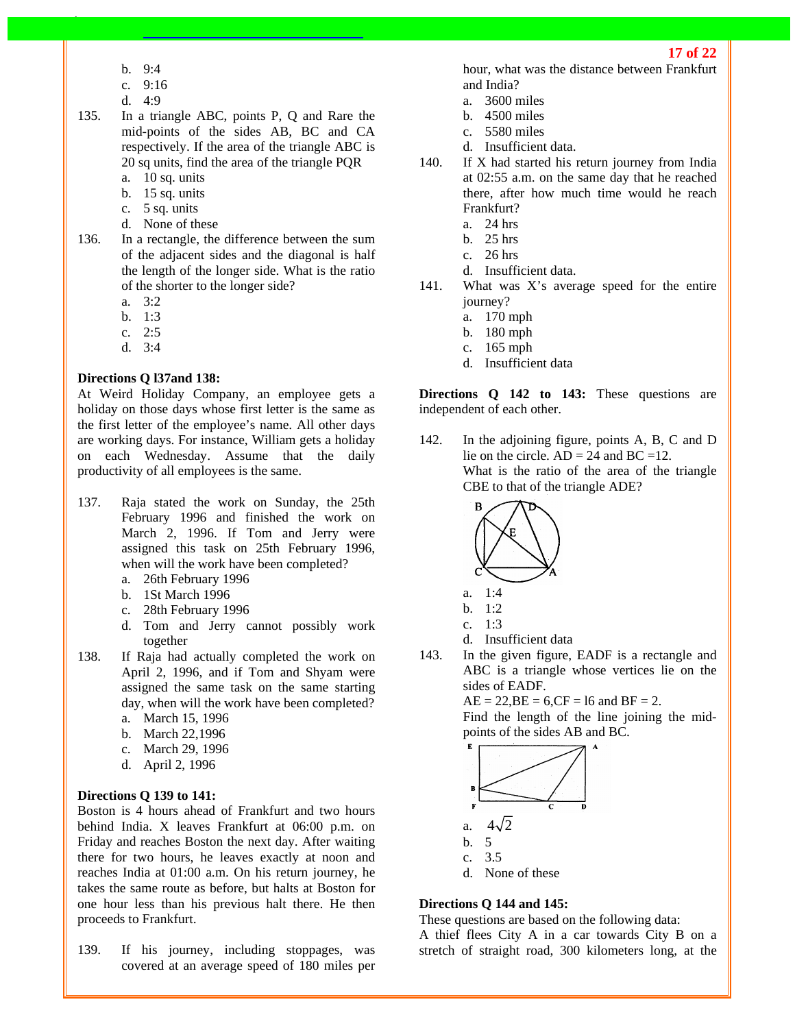- b. 9:4
- c. 9:16
- d. 4:9
- 135. In a triangle ABC, points P, Q and Rare the mid-points of the sides AB, BC and CA respectively. If the area of the triangle ABC is 20 sq units, find the area of the triangle PQR
	- a. 10 sq. units
	- b. 15 sq. units
	- c. 5 sq. units
	- d. None of these
- 136. In a rectangle, the difference between the sum of the adjacent sides and the diagonal is half the length of the longer side. What is the ratio of the shorter to the longer side?
	- a. 3:2
	- b. 1:3
	- c. 2:5
	- d. 3:4

## **Directions Q l37and 138:**

At Weird Holiday Company, an employee gets a holiday on those days whose first letter is the same as the first letter of the employee's name. All other days are working days. For instance, William gets a holiday on each Wednesday. Assume that the daily productivity of all employees is the same.

- 137. Raja stated the work on Sunday, the 25th February 1996 and finished the work on March 2, 1996. If Tom and Jerry were assigned this task on 25th February 1996, when will the work have been completed?
	- a. 26th February 1996
	- b. 1St March 1996
	- c. 28th February 1996
	- d. Tom and Jerry cannot possibly work together
- 138. If Raja had actually completed the work on April 2, 1996, and if Tom and Shyam were assigned the same task on the same starting day, when will the work have been completed? a. March 15, 1996
	- b. March 22,1996
	-
	- c. March 29, 1996
	- d. April 2, 1996

## **Directions Q 139 to 141:**

Boston is 4 hours ahead of Frankfurt and two hours behind India. X leaves Frankfurt at 06:00 p.m. on Friday and reaches Boston the next day. After waiting there for two hours, he leaves exactly at noon and reaches India at 01:00 a.m. On his return journey, he takes the same route as before, but halts at Boston for one hour less than his previous halt there. He then proceeds to Frankfurt.

139. If his journey, including stoppages, was covered at an average speed of 180 miles per hour, what was the distance between Frankfurt and India?

- a. 3600 miles
- b. 4500 miles
- c. 5580 miles
- d. Insufficient data.
- 140. If X had started his return journey from India at 02:55 a.m. on the same day that he reached there, after how much time would he reach Frankfurt?
	- a. 24 hrs
	- b. 25 hrs
	- c. 26 hrs
	- d. Insufficient data.
- 141. What was X's average speed for the entire journey?
	- a. 170 mph
	- b. 180 mph
	- c. 165 mph
	- d. Insufficient data

**Directions Q 142 to 143:** These questions are independent of each other.

142. In the adjoining figure, points A, B, C and D lie on the circle.  $AD = 24$  and  $BC = 12$ . What is the ratio of the area of the triangle CBE to that of the triangle ADE?



$$
\begin{array}{cc} \text{o.} & \text{1.2} \\ \text{c.} & \text{1.3} \end{array}
$$

- d. Insufficient data
- 143. In the given figure, EADF is a rectangle and ABC is a triangle whose vertices lie on the sides of EADF.

 $AE = 22, BE = 6, CF = 16$  and  $BF = 2$ .

Find the length of the line joining the midpoints of the sides AB and BC.



## **Directions Q 144 and 145:**

These questions are based on the following data: A thief flees City A in a car towards City B on a stretch of straight road, 300 kilometers long, at the

**17 of 22**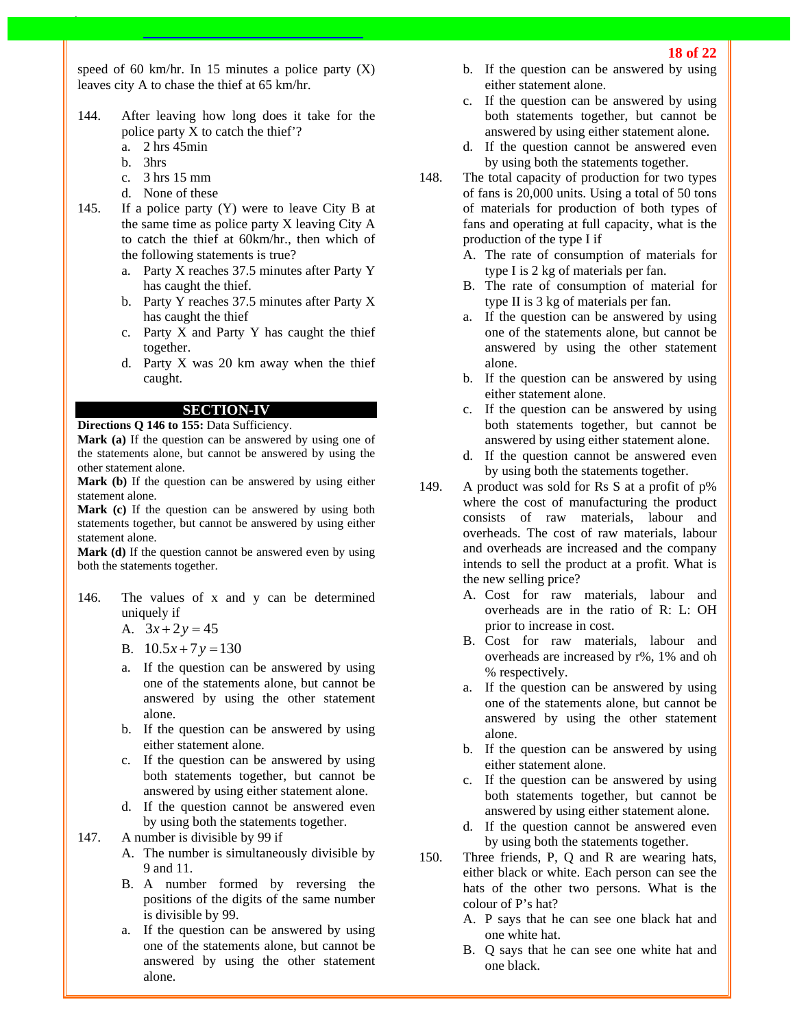speed of 60 km/hr. In 15 minutes a police party  $(X)$ leaves city A to chase the thief at 65 km/hr.

- 144. After leaving how long does it take for the police party X to catch the thief'?
	- a. 2 hrs 45min
	- b. 3hrs
	- c. 3 hrs 15 mm
	- d. None of these
- 145. If a police party (Y) were to leave City B at the same time as police party X leaving City A to catch the thief at 60km/hr., then which of the following statements is true?
	- a. Party X reaches 37.5 minutes after Party Y has caught the thief.
	- b. Party Y reaches 37.5 minutes after Party X has caught the thief
	- c. Party X and Party Y has caught the thief together.
	- d. Party X was 20 km away when the thief caught.

# **SECTION-IV**

## **Directions Q 146 to 155:** Data Sufficiency.

**Mark (a)** If the question can be answered by using one of the statements alone, but cannot be answered by using the other statement alone.

**Mark (b)** If the question can be answered by using either statement alone.

**Mark (c)** If the question can be answered by using both statements together, but cannot be answered by using either statement alone.

**Mark (d)** If the question cannot be answered even by using both the statements together.

- 146. The values of x and y can be determined uniquely if
	- A.  $3x + 2y = 45$
	- B.  $10.5x + 7y = 130$
	- a. If the question can be answered by using one of the statements alone, but cannot be answered by using the other statement alone.
	- b. If the question can be answered by using either statement alone.
	- c. If the question can be answered by using both statements together, but cannot be answered by using either statement alone.
	- d. If the question cannot be answered even by using both the statements together.
- 147. A number is divisible by 99 if
	- A. The number is simultaneously divisible by 9 and 11.
	- B. A number formed by reversing the positions of the digits of the same number is divisible by 99.
	- a. If the question can be answered by using one of the statements alone, but cannot be answered by using the other statement alone.
- b. If the question can be answered by using either statement alone.
- c. If the question can be answered by using both statements together, but cannot be answered by using either statement alone.
- d. If the question cannot be answered even by using both the statements together.
- 148. The total capacity of production for two types of fans is 20,000 units. Using a total of 50 tons of materials for production of both types of fans and operating at full capacity, what is the production of the type I if
	- A. The rate of consumption of materials for type I is 2 kg of materials per fan.
	- B. The rate of consumption of material for type II is 3 kg of materials per fan.
	- a. If the question can be answered by using one of the statements alone, but cannot be answered by using the other statement alone.
	- b. If the question can be answered by using either statement alone.
	- c. If the question can be answered by using both statements together, but cannot be answered by using either statement alone.
	- d. If the question cannot be answered even by using both the statements together.
- 149. A product was sold for Rs S at a profit of p% where the cost of manufacturing the product consists of raw materials, labour and overheads. The cost of raw materials, labour and overheads are increased and the company intends to sell the product at a profit. What is the new selling price?
	- A. Cost for raw materials, labour and overheads are in the ratio of R: L: OH prior to increase in cost.
	- B. Cost for raw materials, labour and overheads are increased by r%, 1% and oh % respectively.
	- a. If the question can be answered by using one of the statements alone, but cannot be answered by using the other statement alone.
	- b. If the question can be answered by using either statement alone.
	- c. If the question can be answered by using both statements together, but cannot be answered by using either statement alone.
	- d. If the question cannot be answered even by using both the statements together.
- 150. Three friends, P, Q and R are wearing hats, either black or white. Each person can see the hats of the other two persons. What is the colour of P's hat?
	- A. P says that he can see one black hat and one white hat.
	- B. Q says that he can see one white hat and one black.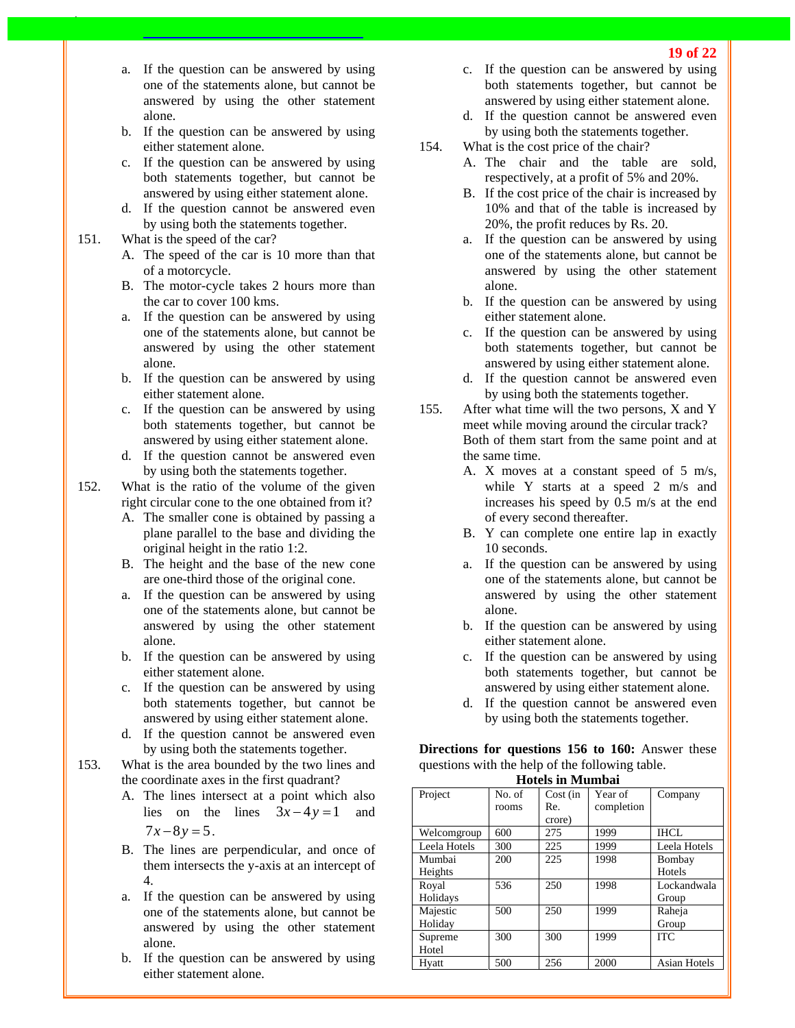- a. If the question can be answered by using one of the statements alone, but cannot be answered by using the other statement alone.
- b. If the question can be answered by using either statement alone.
- c. If the question can be answered by using both statements together, but cannot be answered by using either statement alone.
- d. If the question cannot be answered even by using both the statements together.
- 151. What is the speed of the car?
	- A. The speed of the car is 10 more than that of a motorcycle.
	- B. The motor-cycle takes 2 hours more than the car to cover 100 kms.
	- a. If the question can be answered by using one of the statements alone, but cannot be answered by using the other statement alone.
	- b. If the question can be answered by using either statement alone.
	- c. If the question can be answered by using both statements together, but cannot be answered by using either statement alone.
	- d. If the question cannot be answered even by using both the statements together.
- 152. What is the ratio of the volume of the given right circular cone to the one obtained from it?
	- A. The smaller cone is obtained by passing a plane parallel to the base and dividing the original height in the ratio 1:2.
	- B. The height and the base of the new cone are one-third those of the original cone.
	- a. If the question can be answered by using one of the statements alone, but cannot be answered by using the other statement alone.
	- b. If the question can be answered by using either statement alone.
	- c. If the question can be answered by using both statements together, but cannot be answered by using either statement alone.
	- d. If the question cannot be answered even by using both the statements together.
- 153. What is the area bounded by the two lines and the coordinate axes in the first quadrant?
	- A. The lines intersect at a point which also lies on the lines  $3x-4y=1$  and  $7x - 8y = 5$ .
	- B. The lines are perpendicular, and once of them intersects the y-axis at an intercept of 4.
	- a. If the question can be answered by using one of the statements alone, but cannot be answered by using the other statement alone.
	- b. If the question can be answered by using either statement alone.
- c. If the question can be answered by using both statements together, but cannot be answered by using either statement alone.
- d. If the question cannot be answered even by using both the statements together.
- 154. What is the cost price of the chair?
	- A. The chair and the table are sold, respectively, at a profit of 5% and 20%.
	- B. If the cost price of the chair is increased by 10% and that of the table is increased by 20%, the profit reduces by Rs. 20.
	- a. If the question can be answered by using one of the statements alone, but cannot be answered by using the other statement alone.
	- b. If the question can be answered by using either statement alone.
	- c. If the question can be answered by using both statements together, but cannot be answered by using either statement alone.
	- d. If the question cannot be answered even by using both the statements together.
- 155. After what time will the two persons, X and Y meet while moving around the circular track? Both of them start from the same point and at the same time.
	- A. X moves at a constant speed of 5 m/s, while Y starts at a speed 2 m/s and increases his speed by 0.5 m/s at the end of every second thereafter.
	- B. Y can complete one entire lap in exactly 10 seconds.
	- a. If the question can be answered by using one of the statements alone, but cannot be answered by using the other statement alone.
	- b. If the question can be answered by using either statement alone.
	- c. If the question can be answered by using both statements together, but cannot be answered by using either statement alone.
	- d. If the question cannot be answered even by using both the statements together.

## **Directions for questions 156 to 160:** Answer these questions with the help of the following table. **Hotels in Mumbai**

| No. of | Cost (in | Year of | Company      |  |  |  |  |  |
|--------|----------|---------|--------------|--|--|--|--|--|
| rooms  | Re.      |         |              |  |  |  |  |  |
|        | crore)   |         |              |  |  |  |  |  |
| 600    | 275      | 1999    | IHCL.        |  |  |  |  |  |
| 300    | 225      | 1999    | Leela Hotels |  |  |  |  |  |
| 200    | 225      | 1998    | Bombay       |  |  |  |  |  |
|        |          |         | Hotels       |  |  |  |  |  |
| 536    | 250      | 1998    | Lockandwala  |  |  |  |  |  |
|        |          |         | Group        |  |  |  |  |  |
| 500    | 250      | 1999    | Raheja       |  |  |  |  |  |
|        |          |         | Group        |  |  |  |  |  |
| 300    | 300      | 1999    | <b>ITC</b>   |  |  |  |  |  |
|        |          |         |              |  |  |  |  |  |
| 500    | 256      | 2000    | Asian Hotels |  |  |  |  |  |
|        |          |         | completion   |  |  |  |  |  |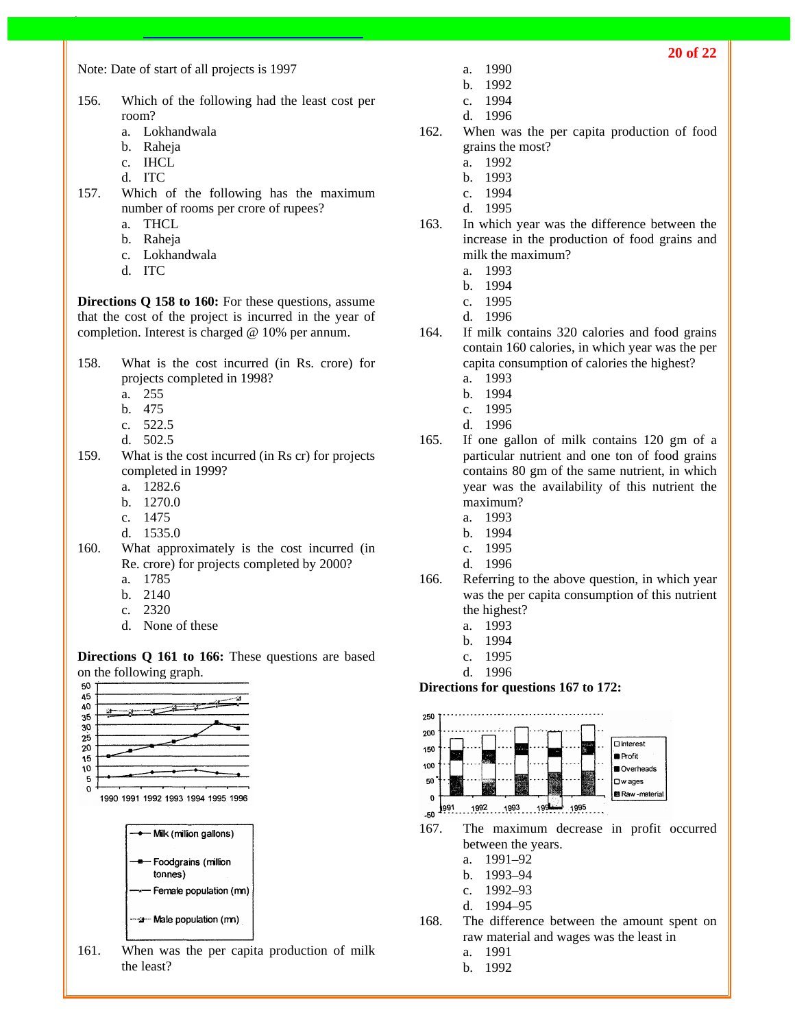**20 of 22**

Note: Date of start of all projects is 1997

- 156. Which of the following had the least cost per room?
	- a. Lokhandwala
	- b. Raheja
	- c. IHCL
	- d. ITC
- 157. Which of the following has the maximum number of rooms per crore of rupees?
	- a. THCL
	- b. Raheja
	- c. Lokhandwala
	- d. ITC

**Directions Q 158 to 160:** For these questions, assume that the cost of the project is incurred in the year of completion. Interest is charged @ 10% per annum.

- 158. What is the cost incurred (in Rs. crore) for projects completed in 1998?
	- a. 255
	- b. 475
	- c. 522.5
	- d. 502.5
- 159. What is the cost incurred (in Rs cr) for projects completed in 1999?
	- a. 1282.6
	- b. 1270.0
	- c. 1475
	- d. 1535.0
- 160. What approximately is the cost incurred (in Re. crore) for projects completed by 2000?
	- a. 1785
	- b. 2140
	- c. 2320
	- d. None of these

**Directions Q 161 to 166:** These questions are based on the following graph.





161. When was the per capita production of milk the least?

- a. 1990
- b. 1992
- c. 1994
- d. 1996
- 162. When was the per capita production of food grains the most?
	- a. 1992
	- b. 1993
	- c. 1994
	- d. 1995
- 163. In which year was the difference between the increase in the production of food grains and milk the maximum?
	- a. 1993
	- b. 1994
	- c. 1995
	- d. 1996
- 164. If milk contains 320 calories and food grains contain 160 calories, in which year was the per capita consumption of calories the highest?
	- a. 1993
	- b. 1994
	- c. 1995
	- d. 1996
- 165. If one gallon of milk contains 120 gm of a particular nutrient and one ton of food grains contains 80 gm of the same nutrient, in which year was the availability of this nutrient the maximum?
	- a. 1993
	- b. 1994
	- c. 1995
	- d. 1996
- 166. Referring to the above question, in which year was the per capita consumption of this nutrient the highest?
	- a. 1993
	- b. 1994
	- c. 1995
	- d. 1996

**Directions for questions 167 to 172:** 



- 167. The maximum decrease in profit occurred between the years.
	- a. 1991–92
	- b. 1993–94
	- c. 1992–93
	- d. 1994–95
- 168. The difference between the amount spent on raw material and wages was the least in
	- a. 1991
	- b. 1992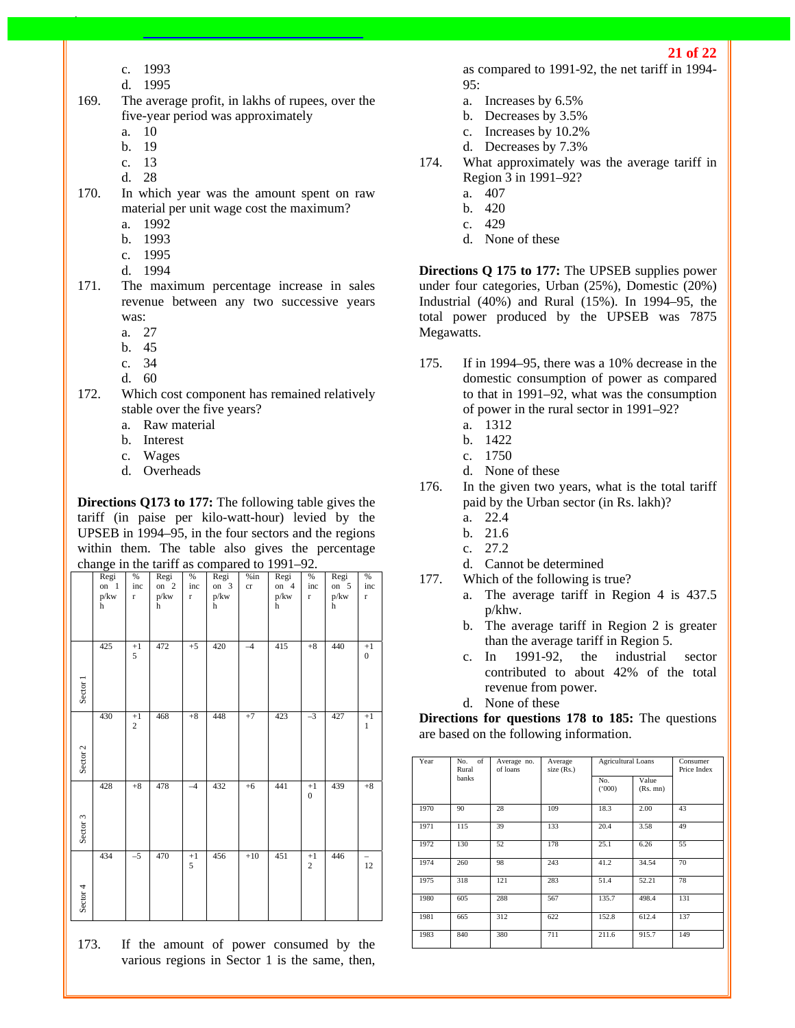- c. 1993
- d. 1995
- 169. The average profit, in lakhs of rupees, over the five-year period was approximately
	- a. 10
	- b. 19
	- c. 13
	- d. 28
- 170. In which year was the amount spent on raw material per unit wage cost the maximum?
	- a. 1992
	- b. 1993
	- c. 1995
	- d. 1994
- 171. The maximum percentage increase in sales revenue between any two successive years was:
	- a. 27
	- b. 45
	- c. 34
	- d. 60
- 172. Which cost component has remained relatively stable over the five years?
	- a. Raw material
	- b. Interest
	- c. Wages
	- d. Overheads

**Directions Q173 to 177:** The following table gives the tariff (in paise per kilo-watt-hour) levied by the UPSEB in 1994–95, in the four sectors and the regions within them. The table also gives the percentage change in the tariff as compared to 1991–92.

|                     | Regi<br>on $1$<br>p/kw<br>h | $\%$<br>inc<br>$\Gamma$ | Regi<br>on $2$<br>p/kw<br>h | $\%$<br>inc<br>$\bf r$ | Regi<br>on $3$<br>p/kw<br>$\mathbf h$ | %in<br>$_{\rm cr}$ | Regi<br>on 4<br>p/kw<br>$\,$ h | $\%$<br>inc<br>$\bf r$    | Regi<br>on $5$<br>p/kw<br>h | $\%$<br>inc<br>$\Gamma$        |
|---------------------|-----------------------------|-------------------------|-----------------------------|------------------------|---------------------------------------|--------------------|--------------------------------|---------------------------|-----------------------------|--------------------------------|
| Sector 1            | 425                         | $+1$<br>5               | 472                         | $+5$                   | 420                                   | $-4$               | 415                            | $+8$                      | 440                         | $+1$<br>$\boldsymbol{0}$       |
| Sector <sub>2</sub> | 430                         | $+1$<br>$\overline{c}$  | 468                         | $+8$                   | 448                                   | $+7$               | 423                            | $-3$                      | 427                         | $+1$<br>$\mathbf{1}$           |
| Sector 3            | 428                         | $+8$                    | 478                         | $-4$                   | 432                                   | $+6$               | 441                            | $+1$<br>$\boldsymbol{0}$  | 439                         | $+8$                           |
| Sector 4            | 434                         | $-5$                    | 470                         | $\color{red}{+1}$<br>5 | 456                                   | $+10$              | 451                            | $\bf{+1}$<br>$\mathbf{2}$ | 446                         | $\overline{\phantom{0}}$<br>12 |

173. If the amount of power consumed by the various regions in Sector 1 is the same, then,

as compared to 1991-92, the net tariff in 1994- 95:

- a. Increases by 6.5%
- b. Decreases by 3.5%
- c. Increases by 10.2%
- d. Decreases by 7.3%
- 174. What approximately was the average tariff in Region 3 in 1991–92?
	- a. 407
	- b. 420
	- c. 429
	- d. None of these

**Directions Q 175 to 177:** The UPSEB supplies power under four categories, Urban (25%), Domestic (20%) Industrial (40%) and Rural (15%). In 1994–95, the total power produced by the UPSEB was 7875 Megawatts.

- 175. If in 1994–95, there was a 10% decrease in the domestic consumption of power as compared to that in 1991–92, what was the consumption of power in the rural sector in 1991–92?
	- a. 1312
	- b. 1422
	- c. 1750
	- d. None of these
- 176. In the given two years, what is the total tariff paid by the Urban sector (in Rs. lakh)?
	- a. 22.4
	- b. 21.6
	- c. 27.2
	- d. Cannot be determined
- 177. Which of the following is true?
	- a. The average tariff in Region 4 is 437.5 p/khw.
	- b. The average tariff in Region 2 is greater than the average tariff in Region 5.
	- c. In 1991-92, the industrial sector contributed to about 42% of the total revenue from power.
	- d. None of these

**Directions for questions 178 to 185:** The questions are based on the following information.

| Year | No. of<br>Rural | Average no.<br>of loans | Average<br>size $(Rs.)$ | Agricultural Loans |                   | Consumer<br>Price Index |
|------|-----------------|-------------------------|-------------------------|--------------------|-------------------|-------------------------|
|      | banks           |                         |                         | No.<br>(000)       | Value<br>(Rs. mn) |                         |
| 1970 | 90              | 28                      | 109                     | 18.3               | 2.00              | 43                      |
| 1971 | 115             | 39                      | 133                     | 20.4               | 3.58              | 49                      |
| 1972 | 130             | 52                      | 178                     | 25.1               | 6.26              | 55                      |
| 1974 | 260             | 98                      | 243                     | 41.2               | 34.54             | 70                      |
| 1975 | 318             | 121                     | 283                     | 51.4               | 52.21             | 78                      |
| 1980 | 605             | 288                     | 567                     | 135.7              | 498.4             | 131                     |
| 1981 | 665             | 312                     | 622                     | 152.8              | 612.4             | 137                     |
| 1983 | 840             | 380                     | 711                     | 211.6              | 915.7             | 149                     |